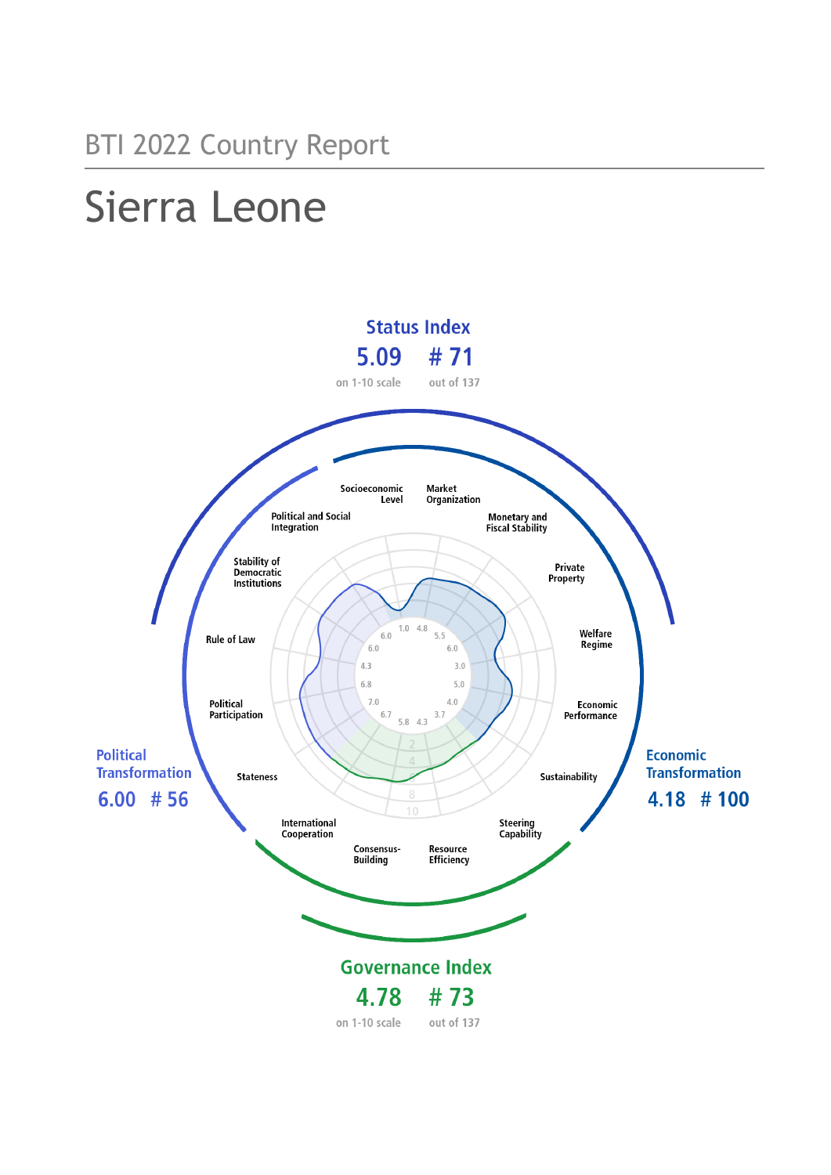# Sierra Leone

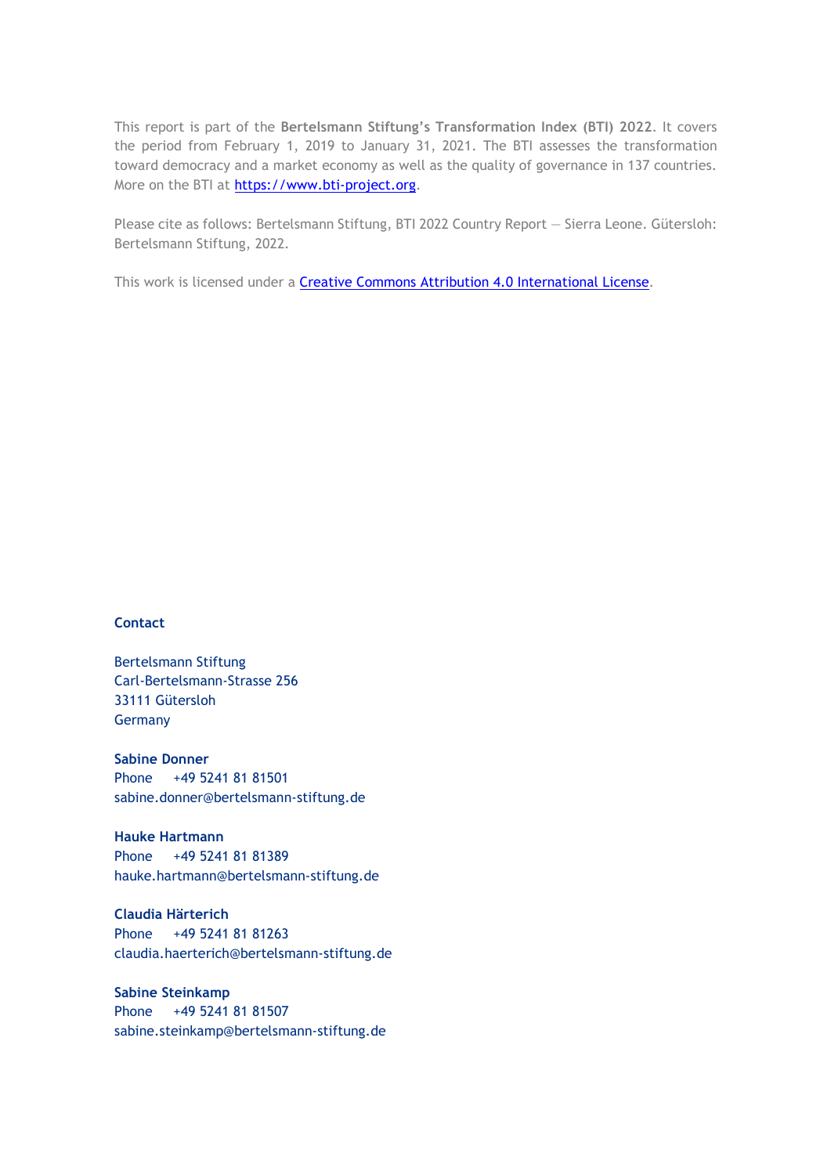This report is part of the **Bertelsmann Stiftung's Transformation Index (BTI) 2022**. It covers the period from February 1, 2019 to January 31, 2021. The BTI assesses the transformation toward democracy and a market economy as well as the quality of governance in 137 countries. More on the BTI at [https://www.bti-project.org.](https://www.bti-project.org/)

Please cite as follows: Bertelsmann Stiftung, BTI 2022 Country Report — Sierra Leone. Gütersloh: Bertelsmann Stiftung, 2022.

This work is licensed under a **Creative Commons Attribution 4.0 International License**.

#### **Contact**

Bertelsmann Stiftung Carl-Bertelsmann-Strasse 256 33111 Gütersloh Germany

**Sabine Donner** Phone +49 5241 81 81501 sabine.donner@bertelsmann-stiftung.de

**Hauke Hartmann** Phone +49 5241 81 81389 hauke.hartmann@bertelsmann-stiftung.de

**Claudia Härterich** Phone +49 5241 81 81263 claudia.haerterich@bertelsmann-stiftung.de

#### **Sabine Steinkamp** Phone +49 5241 81 81507 sabine.steinkamp@bertelsmann-stiftung.de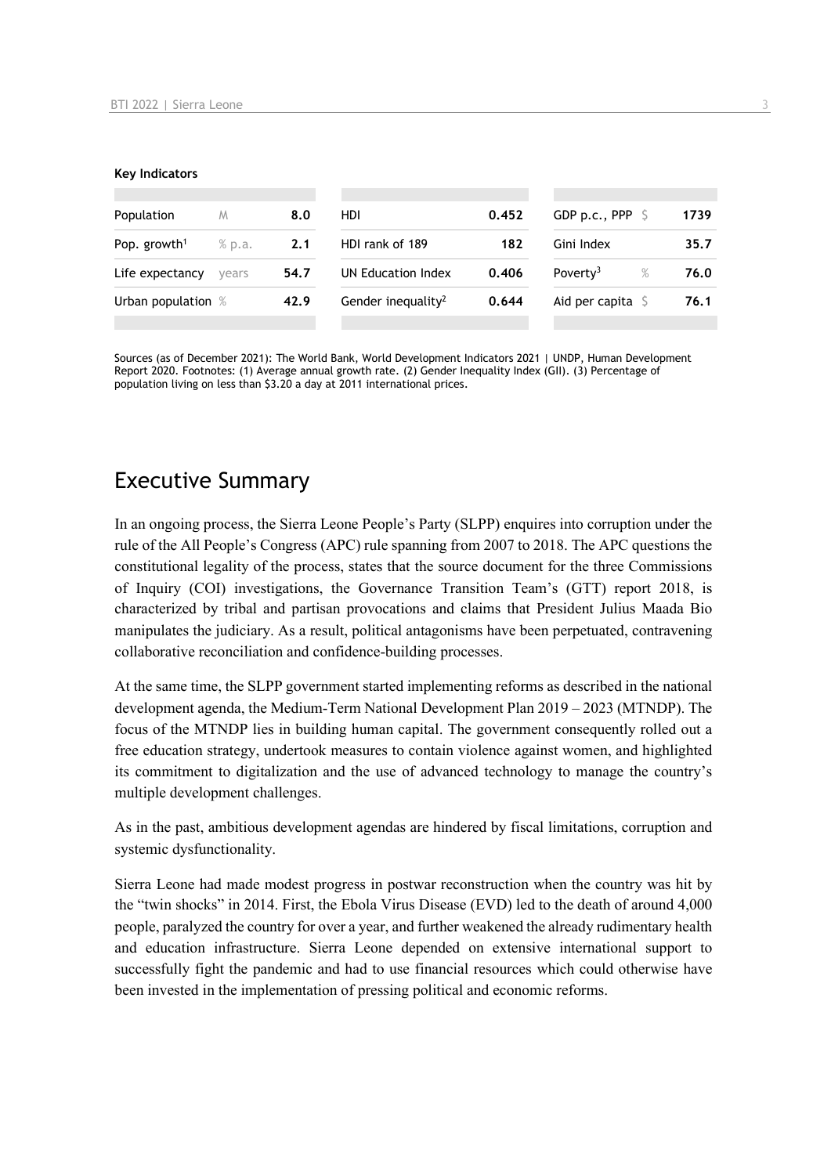#### **Key Indicators**

| Population               | M      | 8.0  | HDI                            | 0.452 | GDP p.c., PPP $\ S$       | 1739 |
|--------------------------|--------|------|--------------------------------|-------|---------------------------|------|
| Pop. growth <sup>1</sup> | % p.a. | 2.1  | HDI rank of 189                | 182   | Gini Index                | 35.7 |
| Life expectancy          | vears  | 54.7 | UN Education Index             | 0.406 | Poverty <sup>3</sup><br>% | 76.0 |
| Urban population %       |        | 42.9 | Gender inequality <sup>2</sup> | 0.644 | Aid per capita            | 76.1 |
|                          |        |      |                                |       |                           |      |

Sources (as of December 2021): The World Bank, World Development Indicators 2021 | UNDP, Human Development Report 2020. Footnotes: (1) Average annual growth rate. (2) Gender Inequality Index (GII). (3) Percentage of population living on less than \$3.20 a day at 2011 international prices.

## Executive Summary

In an ongoing process, the Sierra Leone People's Party (SLPP) enquires into corruption under the rule of the All People's Congress (APC) rule spanning from 2007 to 2018. The APC questions the constitutional legality of the process, states that the source document for the three Commissions of Inquiry (COI) investigations, the Governance Transition Team's (GTT) report 2018, is characterized by tribal and partisan provocations and claims that President Julius Maada Bio manipulates the judiciary. As a result, political antagonisms have been perpetuated, contravening collaborative reconciliation and confidence-building processes.

At the same time, the SLPP government started implementing reforms as described in the national development agenda, the Medium-Term National Development Plan 2019 – 2023 (MTNDP). The focus of the MTNDP lies in building human capital. The government consequently rolled out a free education strategy, undertook measures to contain violence against women, and highlighted its commitment to digitalization and the use of advanced technology to manage the country's multiple development challenges.

As in the past, ambitious development agendas are hindered by fiscal limitations, corruption and systemic dysfunctionality.

Sierra Leone had made modest progress in postwar reconstruction when the country was hit by the "twin shocks" in 2014. First, the Ebola Virus Disease (EVD) led to the death of around 4,000 people, paralyzed the country for over a year, and further weakened the already rudimentary health and education infrastructure. Sierra Leone depended on extensive international support to successfully fight the pandemic and had to use financial resources which could otherwise have been invested in the implementation of pressing political and economic reforms.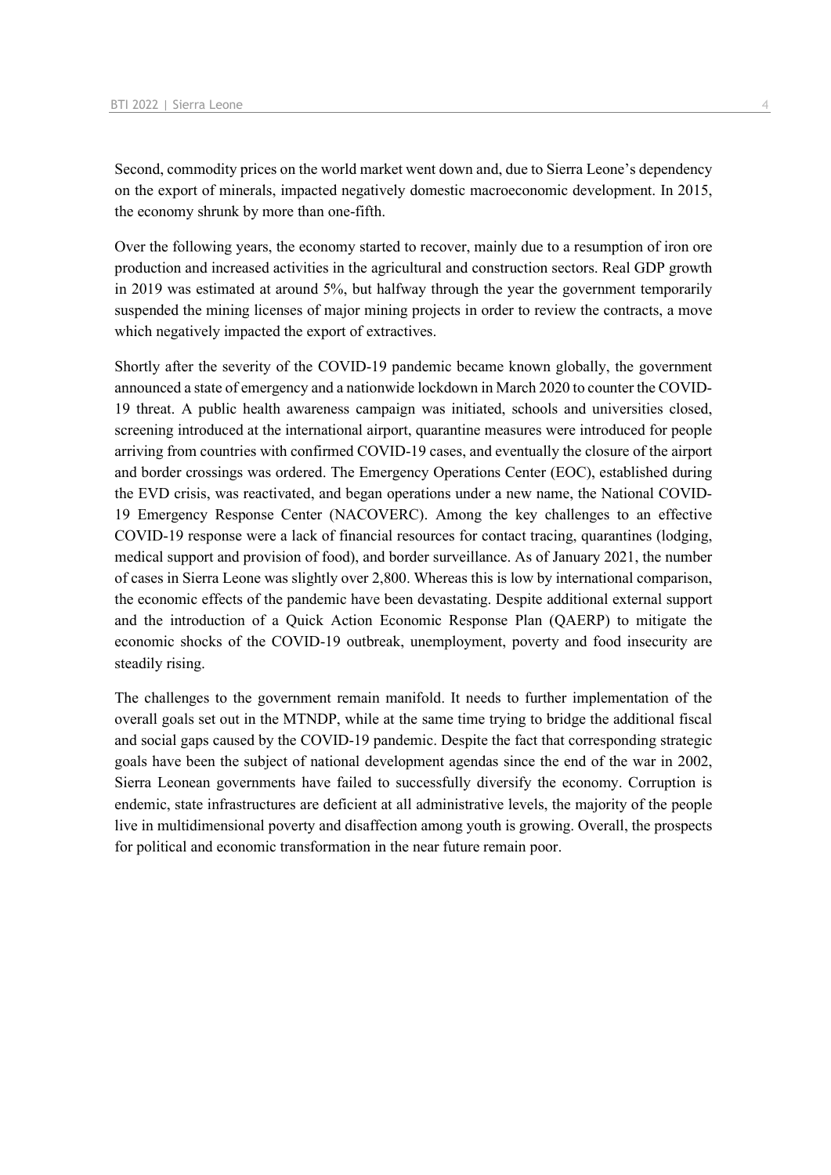Second, commodity prices on the world market went down and, due to Sierra Leone's dependency on the export of minerals, impacted negatively domestic macroeconomic development. In 2015, the economy shrunk by more than one-fifth.

Over the following years, the economy started to recover, mainly due to a resumption of iron ore production and increased activities in the agricultural and construction sectors. Real GDP growth in 2019 was estimated at around 5%, but halfway through the year the government temporarily suspended the mining licenses of major mining projects in order to review the contracts, a move which negatively impacted the export of extractives.

Shortly after the severity of the COVID-19 pandemic became known globally, the government announced a state of emergency and a nationwide lockdown in March 2020 to counter the COVID-19 threat. A public health awareness campaign was initiated, schools and universities closed, screening introduced at the international airport, quarantine measures were introduced for people arriving from countries with confirmed COVID-19 cases, and eventually the closure of the airport and border crossings was ordered. The Emergency Operations Center (EOC), established during the EVD crisis, was reactivated, and began operations under a new name, the National COVID-19 Emergency Response Center (NACOVERC). Among the key challenges to an effective COVID-19 response were a lack of financial resources for contact tracing, quarantines (lodging, medical support and provision of food), and border surveillance. As of January 2021, the number of cases in Sierra Leone was slightly over 2,800. Whereas this is low by international comparison, the economic effects of the pandemic have been devastating. Despite additional external support and the introduction of a Quick Action Economic Response Plan (QAERP) to mitigate the economic shocks of the COVID-19 outbreak, unemployment, poverty and food insecurity are steadily rising.

The challenges to the government remain manifold. It needs to further implementation of the overall goals set out in the MTNDP, while at the same time trying to bridge the additional fiscal and social gaps caused by the COVID-19 pandemic. Despite the fact that corresponding strategic goals have been the subject of national development agendas since the end of the war in 2002, Sierra Leonean governments have failed to successfully diversify the economy. Corruption is endemic, state infrastructures are deficient at all administrative levels, the majority of the people live in multidimensional poverty and disaffection among youth is growing. Overall, the prospects for political and economic transformation in the near future remain poor.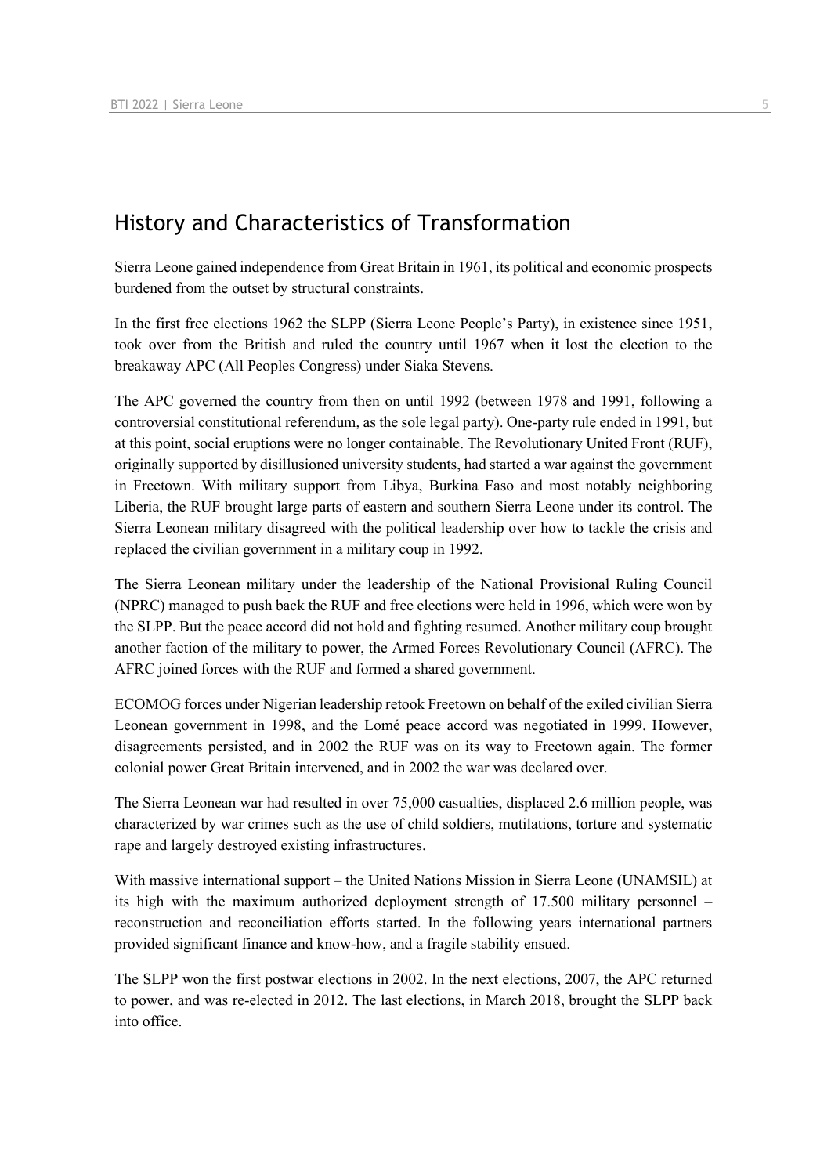## History and Characteristics of Transformation

Sierra Leone gained independence from Great Britain in 1961, its political and economic prospects burdened from the outset by structural constraints.

In the first free elections 1962 the SLPP (Sierra Leone People's Party), in existence since 1951, took over from the British and ruled the country until 1967 when it lost the election to the breakaway APC (All Peoples Congress) under Siaka Stevens.

The APC governed the country from then on until 1992 (between 1978 and 1991, following a controversial constitutional referendum, as the sole legal party). One-party rule ended in 1991, but at this point, social eruptions were no longer containable. The Revolutionary United Front (RUF), originally supported by disillusioned university students, had started a war against the government in Freetown. With military support from Libya, Burkina Faso and most notably neighboring Liberia, the RUF brought large parts of eastern and southern Sierra Leone under its control. The Sierra Leonean military disagreed with the political leadership over how to tackle the crisis and replaced the civilian government in a military coup in 1992.

The Sierra Leonean military under the leadership of the National Provisional Ruling Council (NPRC) managed to push back the RUF and free elections were held in 1996, which were won by the SLPP. But the peace accord did not hold and fighting resumed. Another military coup brought another faction of the military to power, the Armed Forces Revolutionary Council (AFRC). The AFRC joined forces with the RUF and formed a shared government.

ECOMOG forces under Nigerian leadership retook Freetown on behalf of the exiled civilian Sierra Leonean government in 1998, and the Lomé peace accord was negotiated in 1999. However, disagreements persisted, and in 2002 the RUF was on its way to Freetown again. The former colonial power Great Britain intervened, and in 2002 the war was declared over.

The Sierra Leonean war had resulted in over 75,000 casualties, displaced 2.6 million people, was characterized by war crimes such as the use of child soldiers, mutilations, torture and systematic rape and largely destroyed existing infrastructures.

With massive international support – the United Nations Mission in Sierra Leone (UNAMSIL) at its high with the maximum authorized deployment strength of 17.500 military personnel – reconstruction and reconciliation efforts started. In the following years international partners provided significant finance and know-how, and a fragile stability ensued.

The SLPP won the first postwar elections in 2002. In the next elections, 2007, the APC returned to power, and was re-elected in 2012. The last elections, in March 2018, brought the SLPP back into office.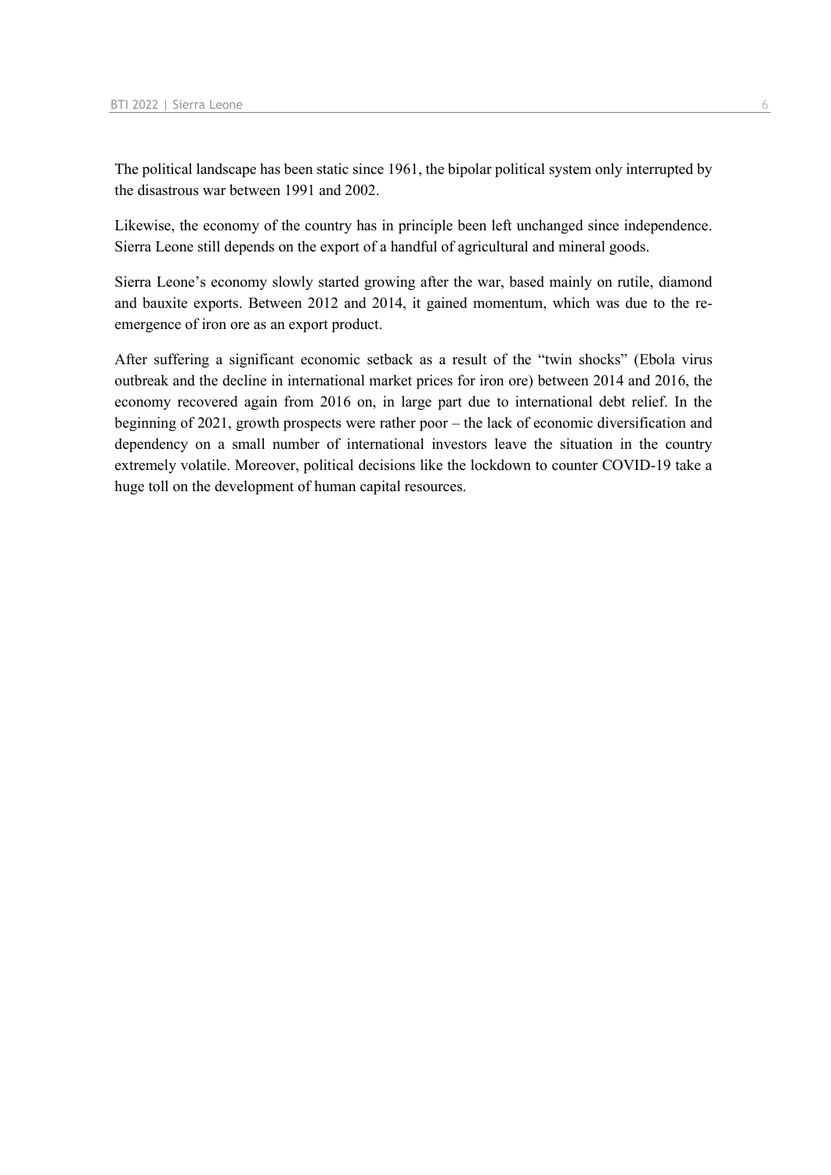The political landscape has been static since 1961, the bipolar political system only interrupted by the disastrous war between 1991 and 2002.

Likewise, the economy of the country has in principle been left unchanged since independence. Sierra Leone still depends on the export of a handful of agricultural and mineral goods.

Sierra Leone's economy slowly started growing after the war, based mainly on rutile, diamond and bauxite exports. Between 2012 and 2014, it gained momentum, which was due to the reemergence of iron ore as an export product.

After suffering a significant economic setback as a result of the "twin shocks" (Ebola virus outbreak and the decline in international market prices for iron ore) between 2014 and 2016, the economy recovered again from 2016 on, in large part due to international debt relief. In the beginning of 2021, growth prospects were rather poor – the lack of economic diversification and dependency on a small number of international investors leave the situation in the country extremely volatile. Moreover, political decisions like the lockdown to counter COVID-19 take a huge toll on the development of human capital resources.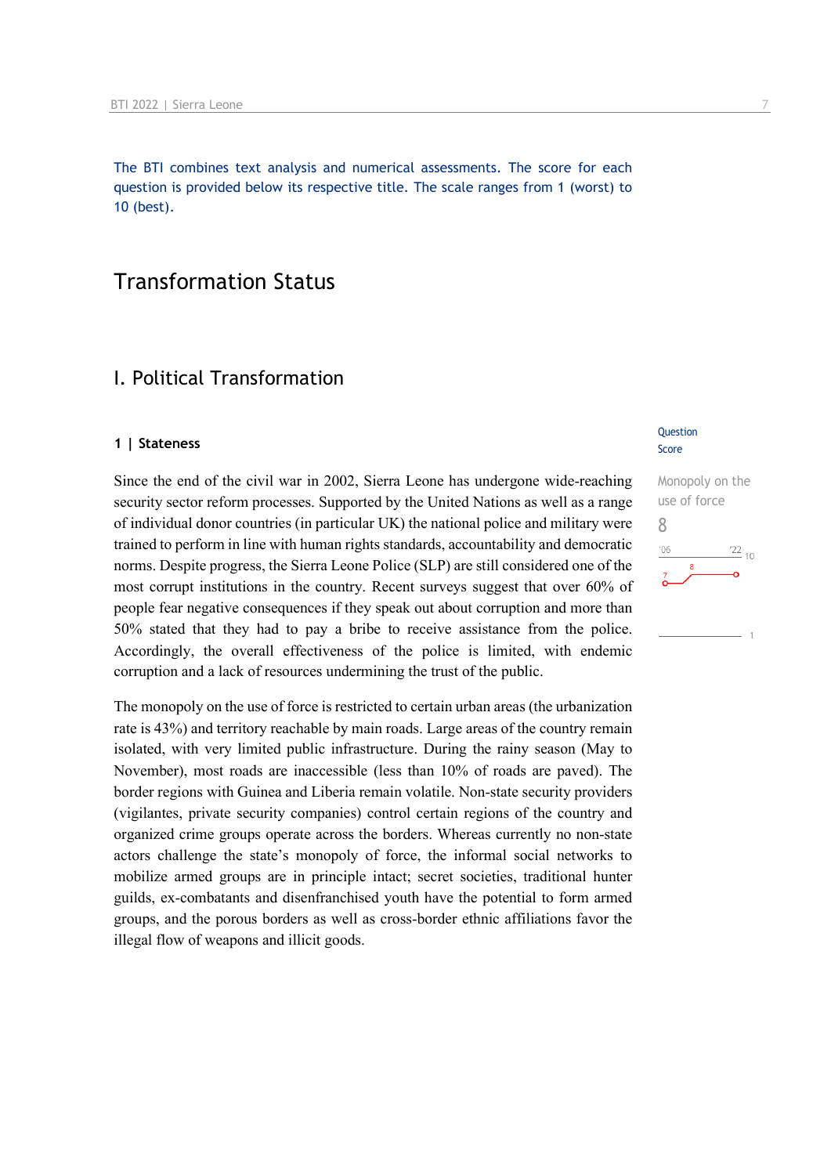The BTI combines text analysis and numerical assessments. The score for each question is provided below its respective title. The scale ranges from 1 (worst) to 10 (best).

## Transformation Status

## I. Political Transformation

#### **1 | Stateness**

Since the end of the civil war in 2002, Sierra Leone has undergone wide-reaching security sector reform processes. Supported by the United Nations as well as a range of individual donor countries (in particular UK) the national police and military were trained to perform in line with human rights standards, accountability and democratic norms. Despite progress, the Sierra Leone Police (SLP) are still considered one of the most corrupt institutions in the country. Recent surveys suggest that over 60% of people fear negative consequences if they speak out about corruption and more than 50% stated that they had to pay a bribe to receive assistance from the police. Accordingly, the overall effectiveness of the police is limited, with endemic corruption and a lack of resources undermining the trust of the public.

The monopoly on the use of force is restricted to certain urban areas (the urbanization rate is 43%) and territory reachable by main roads. Large areas of the country remain isolated, with very limited public infrastructure. During the rainy season (May to November), most roads are inaccessible (less than 10% of roads are paved). The border regions with Guinea and Liberia remain volatile. Non-state security providers (vigilantes, private security companies) control certain regions of the country and organized crime groups operate across the borders. Whereas currently no non-state actors challenge the state's monopoly of force, the informal social networks to mobilize armed groups are in principle intact; secret societies, traditional hunter guilds, ex-combatants and disenfranchised youth have the potential to form armed groups, and the porous borders as well as cross-border ethnic affiliations favor the illegal flow of weapons and illicit goods.

#### **Question** Score

Monopoly on the use of force 8 $\frac{22}{10}$  $106$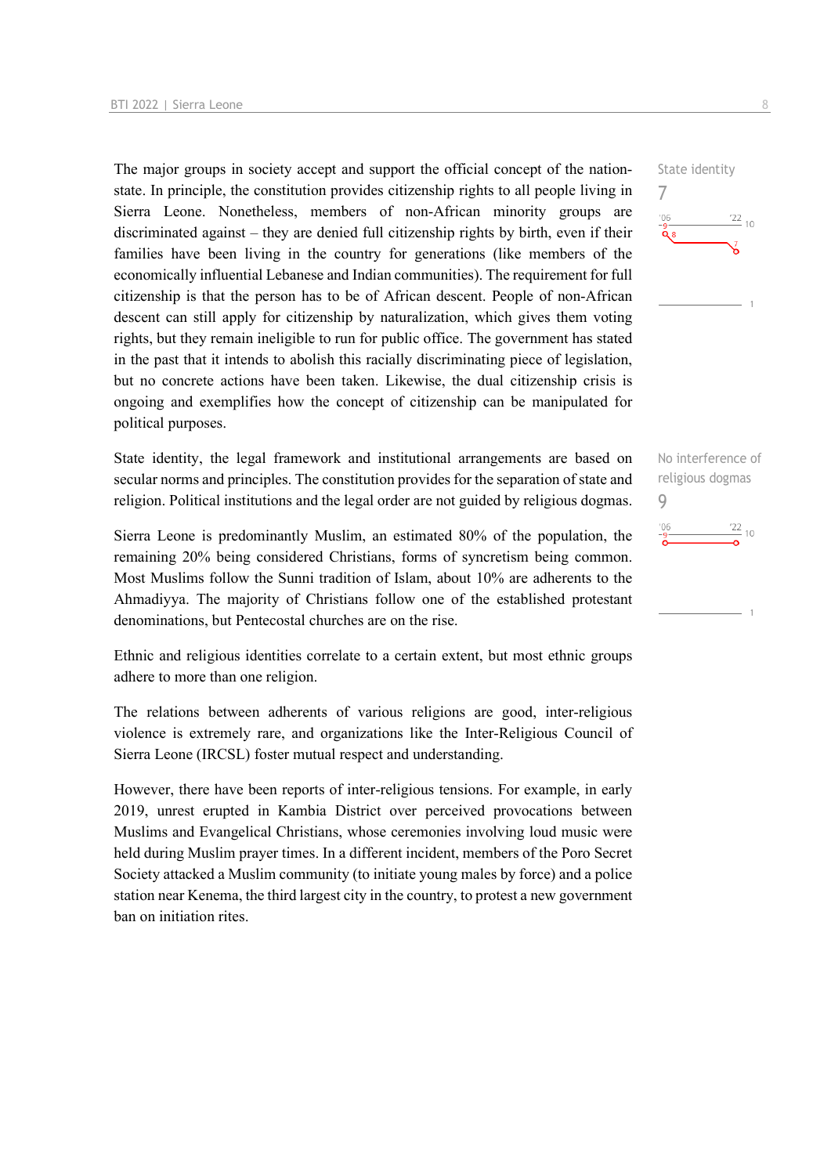The major groups in society accept and support the official concept of the nationstate. In principle, the constitution provides citizenship rights to all people living in Sierra Leone. Nonetheless, members of non-African minority groups are discriminated against – they are denied full citizenship rights by birth, even if their families have been living in the country for generations (like members of the economically influential Lebanese and Indian communities). The requirement for full citizenship is that the person has to be of African descent. People of non-African descent can still apply for citizenship by naturalization, which gives them voting rights, but they remain ineligible to run for public office. The government has stated in the past that it intends to abolish this racially discriminating piece of legislation, but no concrete actions have been taken. Likewise, the dual citizenship crisis is ongoing and exemplifies how the concept of citizenship can be manipulated for political purposes.

State identity, the legal framework and institutional arrangements are based on secular norms and principles. The constitution provides for the separation of state and religion. Political institutions and the legal order are not guided by religious dogmas.

Sierra Leone is predominantly Muslim, an estimated 80% of the population, the remaining 20% being considered Christians, forms of syncretism being common. Most Muslims follow the Sunni tradition of Islam, about 10% are adherents to the Ahmadiyya. The majority of Christians follow one of the established protestant denominations, but Pentecostal churches are on the rise.

Ethnic and religious identities correlate to a certain extent, but most ethnic groups adhere to more than one religion.

The relations between adherents of various religions are good, inter-religious violence is extremely rare, and organizations like the Inter-Religious Council of Sierra Leone (IRCSL) foster mutual respect and understanding.

However, there have been reports of inter-religious tensions. For example, in early 2019, unrest erupted in Kambia District over perceived provocations between Muslims and Evangelical Christians, whose ceremonies involving loud music were held during Muslim prayer times. In a different incident, members of the Poro Secret Society attacked a Muslim community (to initiate young males by force) and a police station near Kenema, the third largest city in the country, to protest a new government ban on initiation rites.



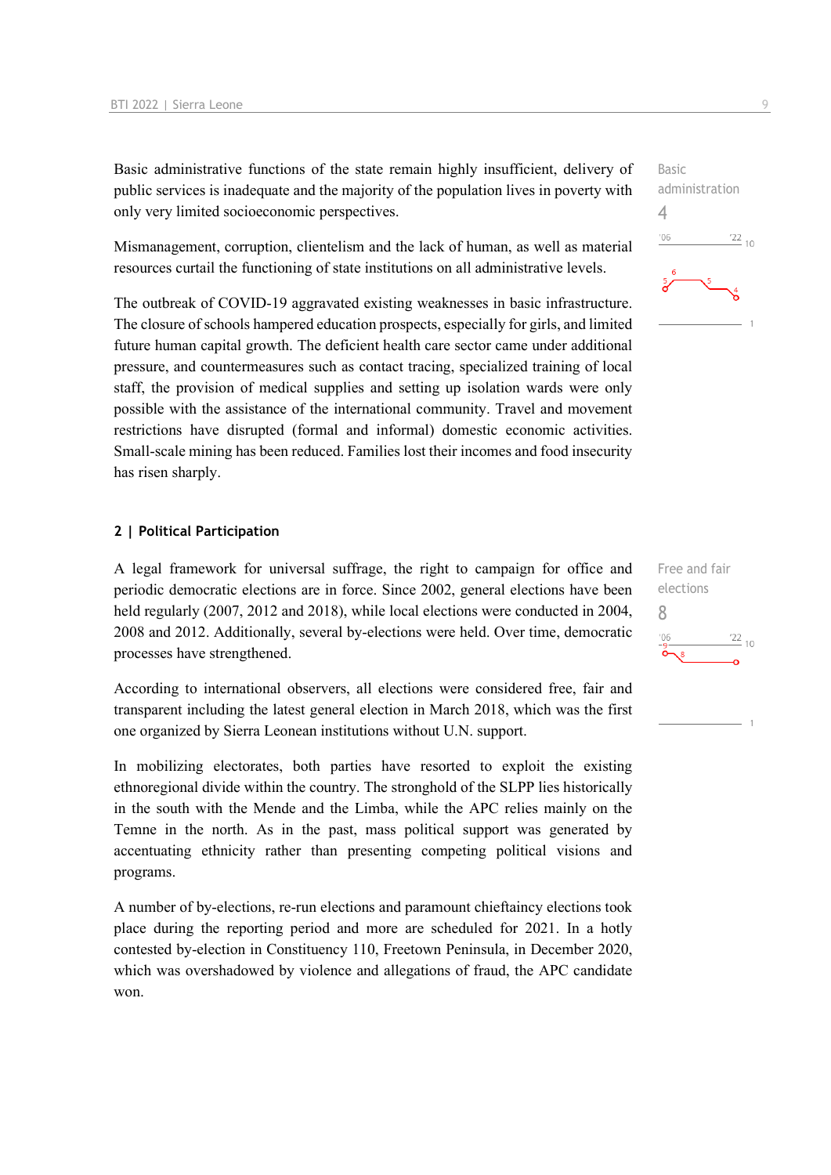Basic administrative functions of the state remain highly insufficient, delivery of public services is inadequate and the majority of the population lives in poverty with only very limited socioeconomic perspectives.

Mismanagement, corruption, clientelism and the lack of human, as well as material resources curtail the functioning of state institutions on all administrative levels.

The outbreak of COVID-19 aggravated existing weaknesses in basic infrastructure. The closure of schools hampered education prospects, especially for girls, and limited future human capital growth. The deficient health care sector came under additional pressure, and countermeasures such as contact tracing, specialized training of local staff, the provision of medical supplies and setting up isolation wards were only possible with the assistance of the international community. Travel and movement restrictions have disrupted (formal and informal) domestic economic activities. Small-scale mining has been reduced. Families lost their incomes and food insecurity has risen sharply.

#### **2 | Political Participation**

A legal framework for universal suffrage, the right to campaign for office and periodic democratic elections are in force. Since 2002, general elections have been held regularly (2007, 2012 and 2018), while local elections were conducted in 2004, 2008 and 2012. Additionally, several by-elections were held. Over time, democratic processes have strengthened.

According to international observers, all elections were considered free, fair and transparent including the latest general election in March 2018, which was the first one organized by Sierra Leonean institutions without U.N. support.

In mobilizing electorates, both parties have resorted to exploit the existing ethnoregional divide within the country. The stronghold of the SLPP lies historically in the south with the Mende and the Limba, while the APC relies mainly on the Temne in the north. As in the past, mass political support was generated by accentuating ethnicity rather than presenting competing political visions and programs.

A number of by-elections, re-run elections and paramount chieftaincy elections took place during the reporting period and more are scheduled for 2021. In a hotly contested by-election in Constituency 110, Freetown Peninsula, in December 2020, which was overshadowed by violence and allegations of fraud, the APC candidate won.



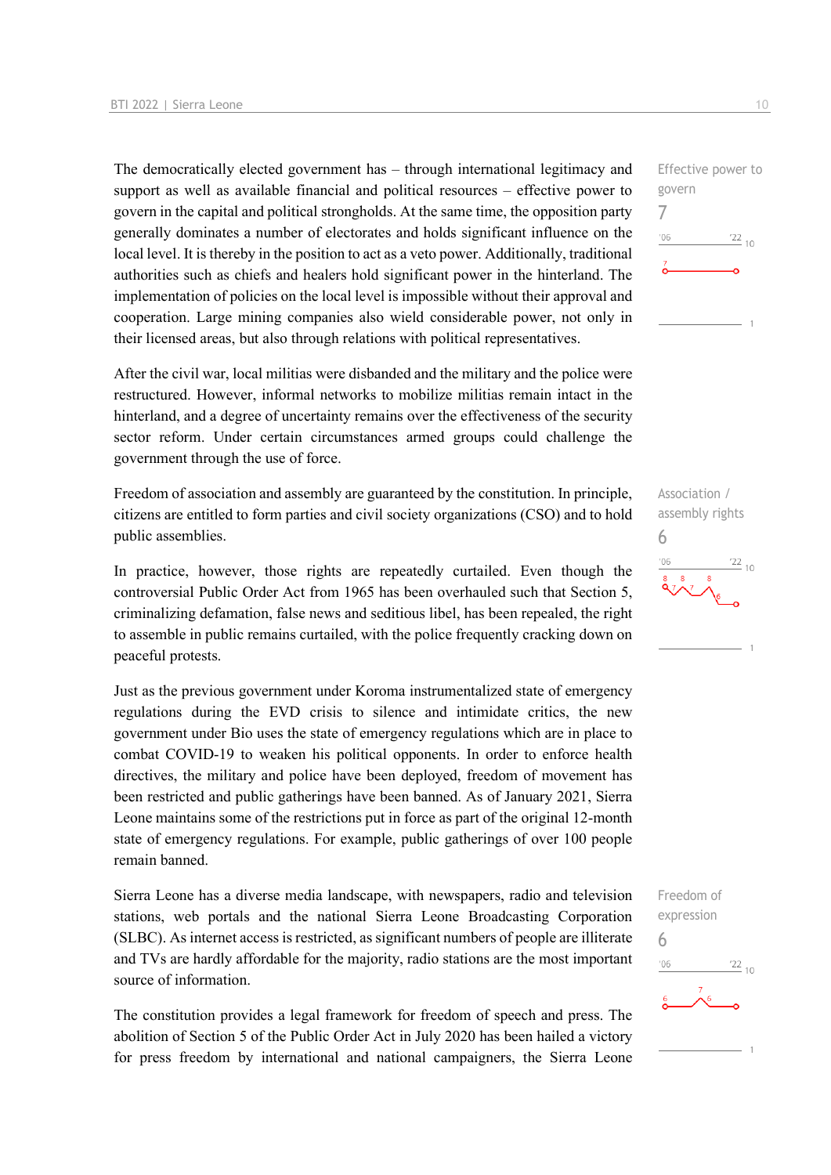The democratically elected government has – through international legitimacy and support as well as available financial and political resources – effective power to govern in the capital and political strongholds. At the same time, the opposition party generally dominates a number of electorates and holds significant influence on the local level. It is thereby in the position to act as a veto power. Additionally, traditional authorities such as chiefs and healers hold significant power in the hinterland. The implementation of policies on the local level is impossible without their approval and cooperation. Large mining companies also wield considerable power, not only in their licensed areas, but also through relations with political representatives.

After the civil war, local militias were disbanded and the military and the police were restructured. However, informal networks to mobilize militias remain intact in the hinterland, and a degree of uncertainty remains over the effectiveness of the security sector reform. Under certain circumstances armed groups could challenge the government through the use of force.

Freedom of association and assembly are guaranteed by the constitution. In principle, citizens are entitled to form parties and civil society organizations (CSO) and to hold public assemblies.

In practice, however, those rights are repeatedly curtailed. Even though the controversial Public Order Act from 1965 has been overhauled such that Section 5, criminalizing defamation, false news and seditious libel, has been repealed, the right to assemble in public remains curtailed, with the police frequently cracking down on peaceful protests.

Just as the previous government under Koroma instrumentalized state of emergency regulations during the EVD crisis to silence and intimidate critics, the new government under Bio uses the state of emergency regulations which are in place to combat COVID-19 to weaken his political opponents. In order to enforce health directives, the military and police have been deployed, freedom of movement has been restricted and public gatherings have been banned. As of January 2021, Sierra Leone maintains some of the restrictions put in force as part of the original 12-month state of emergency regulations. For example, public gatherings of over 100 people remain banned.

Sierra Leone has a diverse media landscape, with newspapers, radio and television stations, web portals and the national Sierra Leone Broadcasting Corporation (SLBC). As internet access is restricted, as significant numbers of people are illiterate and TVs are hardly affordable for the majority, radio stations are the most important source of information.

The constitution provides a legal framework for freedom of speech and press. The abolition of Section 5 of the Public Order Act in July 2020 has been hailed a victory for press freedom by international and national campaigners, the Sierra Leone

Effective power to govern 7  $-06$  $\frac{22}{10}$ 

Association / assembly rights 6  $\frac{22}{10}$  $106$ 

Freedom of expression 6 $\frac{22}{10}$  $^{\prime}06$  $\mathcal{N}^6$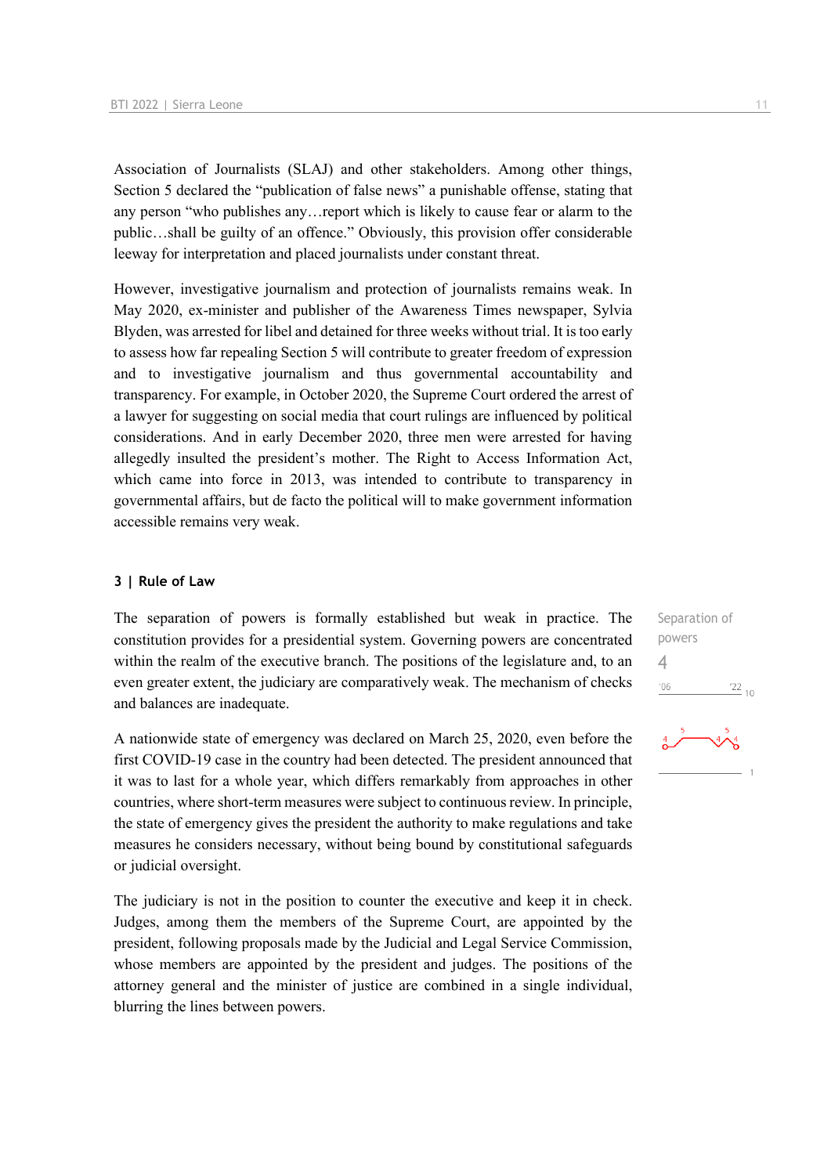Association of Journalists (SLAJ) and other stakeholders. Among other things, Section 5 declared the "publication of false news" a punishable offense, stating that any person "who publishes any…report which is likely to cause fear or alarm to the public…shall be guilty of an offence." Obviously, this provision offer considerable leeway for interpretation and placed journalists under constant threat.

However, investigative journalism and protection of journalists remains weak. In May 2020, ex-minister and publisher of the Awareness Times newspaper, Sylvia Blyden, was arrested for libel and detained for three weeks without trial. It is too early to assess how far repealing Section 5 will contribute to greater freedom of expression and to investigative journalism and thus governmental accountability and transparency. For example, in October 2020, the Supreme Court ordered the arrest of a lawyer for suggesting on social media that court rulings are influenced by political considerations. And in early December 2020, three men were arrested for having allegedly insulted the president's mother. The Right to Access Information Act, which came into force in 2013, was intended to contribute to transparency in governmental affairs, but de facto the political will to make government information accessible remains very weak.

#### **3 | Rule of Law**

The separation of powers is formally established but weak in practice. The constitution provides for a presidential system. Governing powers are concentrated within the realm of the executive branch. The positions of the legislature and, to an even greater extent, the judiciary are comparatively weak. The mechanism of checks and balances are inadequate.

A nationwide state of emergency was declared on March 25, 2020, even before the first COVID-19 case in the country had been detected. The president announced that it was to last for a whole year, which differs remarkably from approaches in other countries, where short-term measures were subject to continuous review. In principle, the state of emergency gives the president the authority to make regulations and take measures he considers necessary, without being bound by constitutional safeguards or judicial oversight.

The judiciary is not in the position to counter the executive and keep it in check. Judges, among them the members of the Supreme Court, are appointed by the president, following proposals made by the Judicial and Legal Service Commission, whose members are appointed by the president and judges. The positions of the attorney general and the minister of justice are combined in a single individual, blurring the lines between powers.

Separation of powers 4 $\frac{22}{10}$  $06'$ 

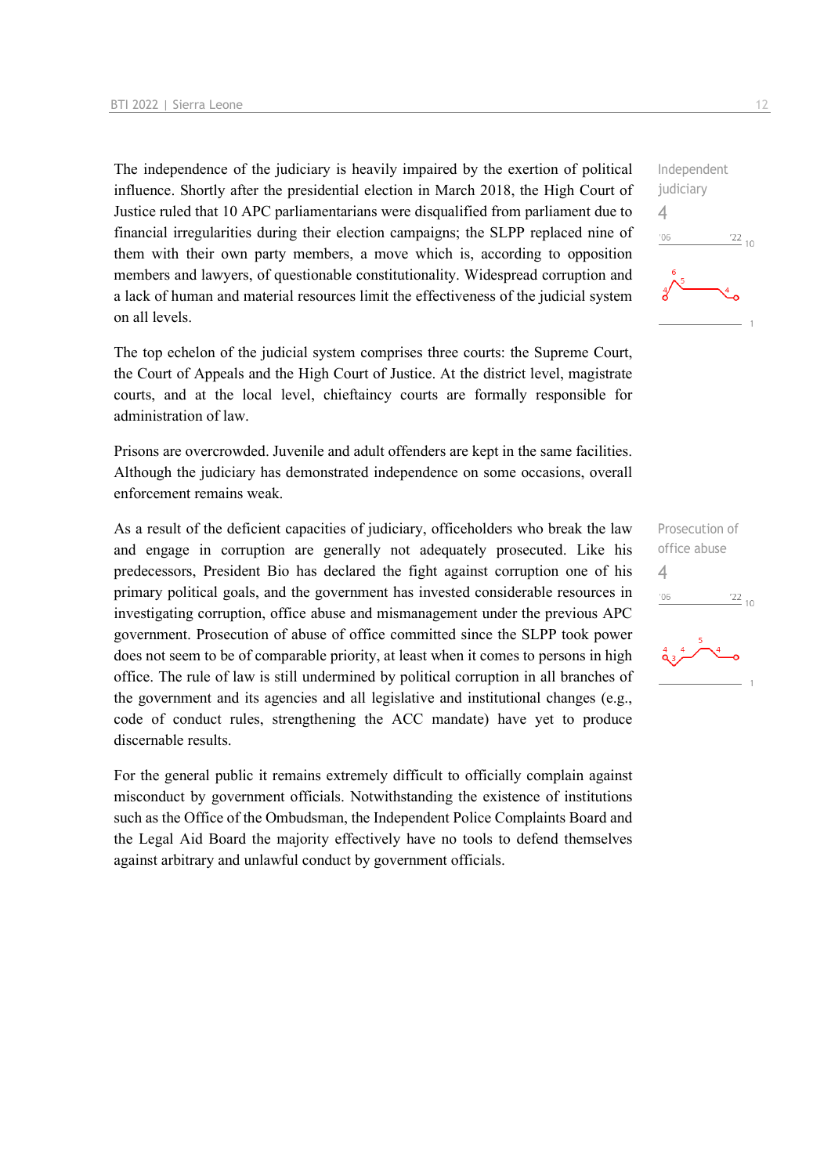The independence of the judiciary is heavily impaired by the exertion of political influence. Shortly after the presidential election in March 2018, the High Court of Justice ruled that 10 APC parliamentarians were disqualified from parliament due to financial irregularities during their election campaigns; the SLPP replaced nine of them with their own party members, a move which is, according to opposition members and lawyers, of questionable constitutionality. Widespread corruption and a lack of human and material resources limit the effectiveness of the judicial system on all levels.

The top echelon of the judicial system comprises three courts: the Supreme Court, the Court of Appeals and the High Court of Justice. At the district level, magistrate courts, and at the local level, chieftaincy courts are formally responsible for administration of law.

Prisons are overcrowded. Juvenile and adult offenders are kept in the same facilities. Although the judiciary has demonstrated independence on some occasions, overall enforcement remains weak.

As a result of the deficient capacities of judiciary, officeholders who break the law and engage in corruption are generally not adequately prosecuted. Like his predecessors, President Bio has declared the fight against corruption one of his primary political goals, and the government has invested considerable resources in investigating corruption, office abuse and mismanagement under the previous APC government. Prosecution of abuse of office committed since the SLPP took power does not seem to be of comparable priority, at least when it comes to persons in high office. The rule of law is still undermined by political corruption in all branches of the government and its agencies and all legislative and institutional changes (e.g., code of conduct rules, strengthening the ACC mandate) have yet to produce discernable results.

For the general public it remains extremely difficult to officially complain against misconduct by government officials. Notwithstanding the existence of institutions such as the Office of the Ombudsman, the Independent Police Complaints Board and the Legal Aid Board the majority effectively have no tools to defend themselves against arbitrary and unlawful conduct by government officials.

Independent judiciary  $\Delta$  $-06$  $\frac{22}{10}$ 

Prosecution of office abuse 4 $^{\prime}06$  $\frac{22}{10}$ 

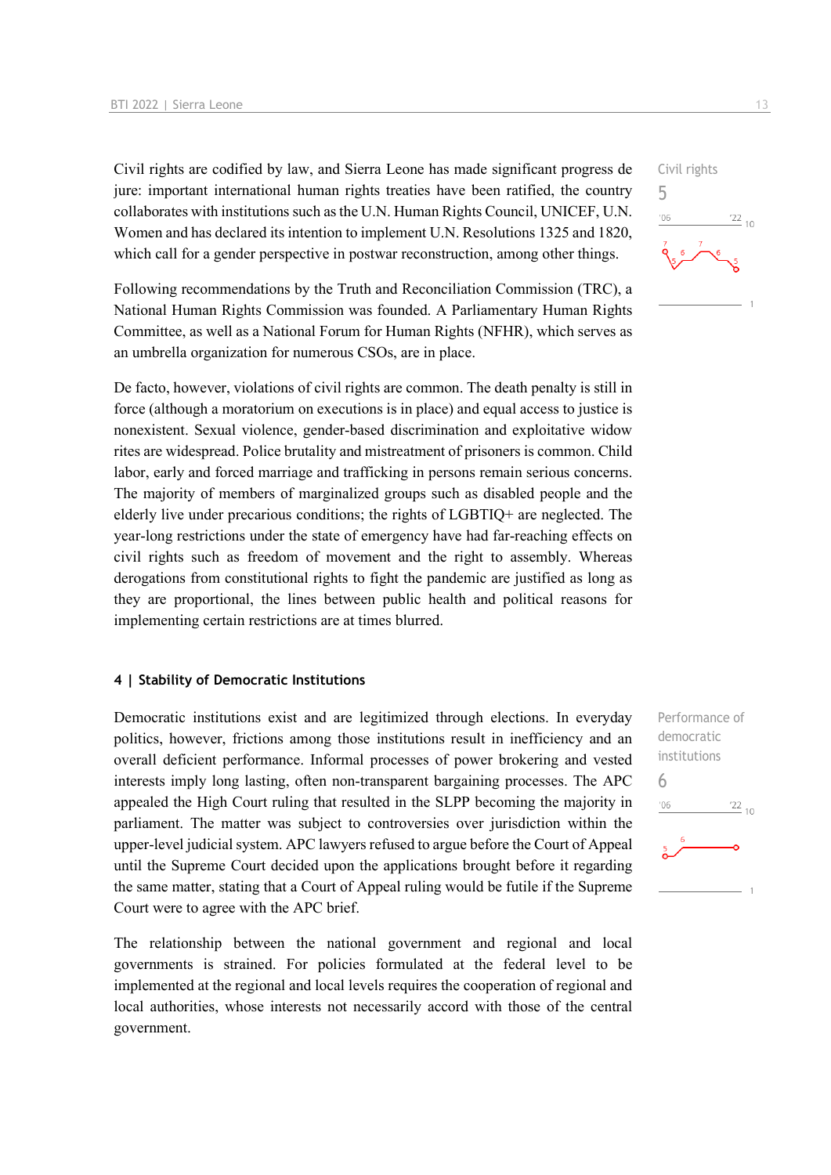Civil rights are codified by law, and Sierra Leone has made significant progress de jure: important international human rights treaties have been ratified, the country collaborates with institutions such as the U.N. Human Rights Council, UNICEF, U.N. Women and has declared its intention to implement U.N. Resolutions 1325 and 1820, which call for a gender perspective in postwar reconstruction, among other things.

Following recommendations by the Truth and Reconciliation Commission (TRC), a National Human Rights Commission was founded. A Parliamentary Human Rights Committee, as well as a National Forum for Human Rights (NFHR), which serves as an umbrella organization for numerous CSOs, are in place.

De facto, however, violations of civil rights are common. The death penalty is still in force (although a moratorium on executions is in place) and equal access to justice is nonexistent. Sexual violence, gender-based discrimination and exploitative widow rites are widespread. Police brutality and mistreatment of prisoners is common. Child labor, early and forced marriage and trafficking in persons remain serious concerns. The majority of members of marginalized groups such as disabled people and the elderly live under precarious conditions; the rights of LGBTIQ+ are neglected. The year-long restrictions under the state of emergency have had far-reaching effects on civil rights such as freedom of movement and the right to assembly. Whereas derogations from constitutional rights to fight the pandemic are justified as long as they are proportional, the lines between public health and political reasons for implementing certain restrictions are at times blurred.

#### **4 | Stability of Democratic Institutions**

Democratic institutions exist and are legitimized through elections. In everyday politics, however, frictions among those institutions result in inefficiency and an overall deficient performance. Informal processes of power brokering and vested interests imply long lasting, often non-transparent bargaining processes. The APC appealed the High Court ruling that resulted in the SLPP becoming the majority in parliament. The matter was subject to controversies over jurisdiction within the upper-level judicial system. APC lawyers refused to argue before the Court of Appeal until the Supreme Court decided upon the applications brought before it regarding the same matter, stating that a Court of Appeal ruling would be futile if the Supreme Court were to agree with the APC brief.

The relationship between the national government and regional and local governments is strained. For policies formulated at the federal level to be implemented at the regional and local levels requires the cooperation of regional and local authorities, whose interests not necessarily accord with those of the central government.



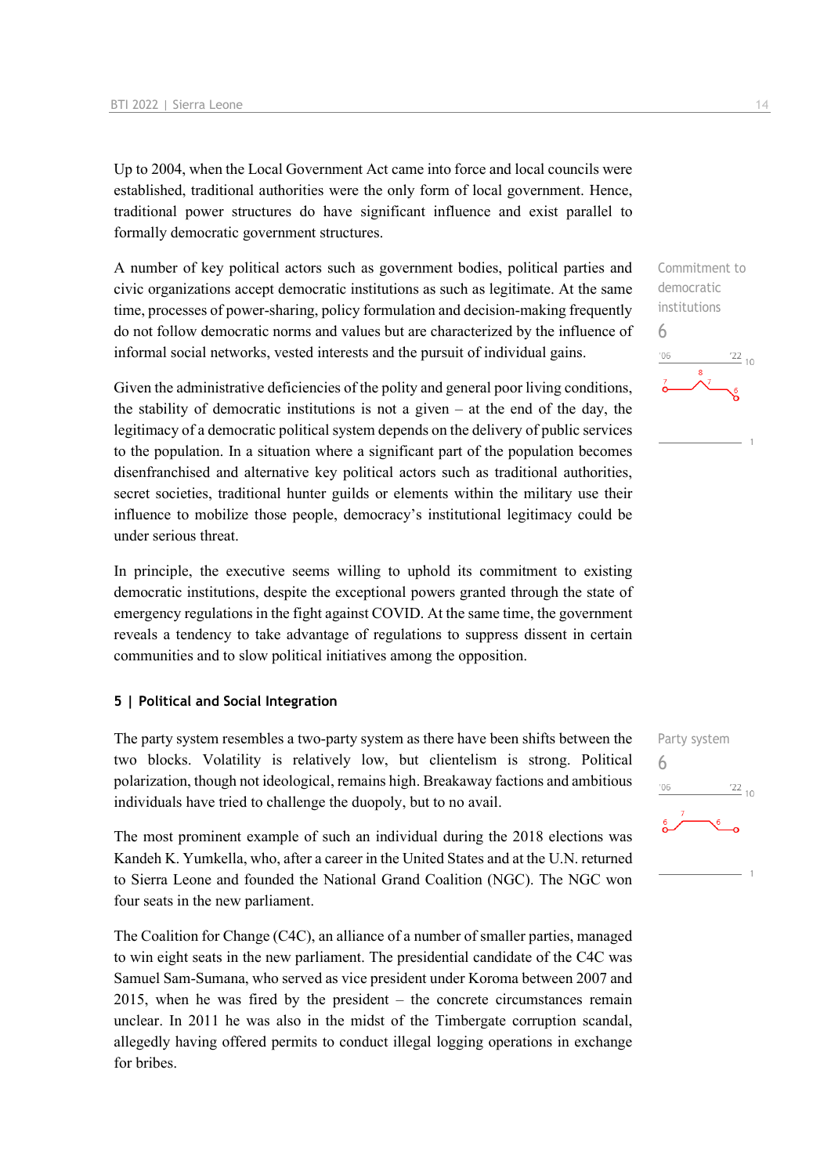Up to 2004, when the Local Government Act came into force and local councils were established, traditional authorities were the only form of local government. Hence, traditional power structures do have significant influence and exist parallel to formally democratic government structures.

A number of key political actors such as government bodies, political parties and civic organizations accept democratic institutions as such as legitimate. At the same time, processes of power-sharing, policy formulation and decision-making frequently do not follow democratic norms and values but are characterized by the influence of informal social networks, vested interests and the pursuit of individual gains.

Given the administrative deficiencies of the polity and general poor living conditions, the stability of democratic institutions is not a given – at the end of the day, the legitimacy of a democratic political system depends on the delivery of public services to the population. In a situation where a significant part of the population becomes disenfranchised and alternative key political actors such as traditional authorities, secret societies, traditional hunter guilds or elements within the military use their influence to mobilize those people, democracy's institutional legitimacy could be under serious threat.

In principle, the executive seems willing to uphold its commitment to existing democratic institutions, despite the exceptional powers granted through the state of emergency regulations in the fight against COVID. At the same time, the government reveals a tendency to take advantage of regulations to suppress dissent in certain communities and to slow political initiatives among the opposition.

#### **5 | Political and Social Integration**

The party system resembles a two-party system as there have been shifts between the two blocks. Volatility is relatively low, but clientelism is strong. Political polarization, though not ideological, remains high. Breakaway factions and ambitious individuals have tried to challenge the duopoly, but to no avail.

The most prominent example of such an individual during the 2018 elections was Kandeh K. Yumkella, who, after a career in the United States and at the U.N. returned to Sierra Leone and founded the National Grand Coalition (NGC). The NGC won four seats in the new parliament.

The Coalition for Change (C4C), an alliance of a number of smaller parties, managed to win eight seats in the new parliament. The presidential candidate of the C4C was Samuel Sam-Sumana, who served as vice president under Koroma between 2007 and 2015, when he was fired by the president – the concrete circumstances remain unclear. In 2011 he was also in the midst of the Timbergate corruption scandal, allegedly having offered permits to conduct illegal logging operations in exchange for bribes.

6

 $'06$ 

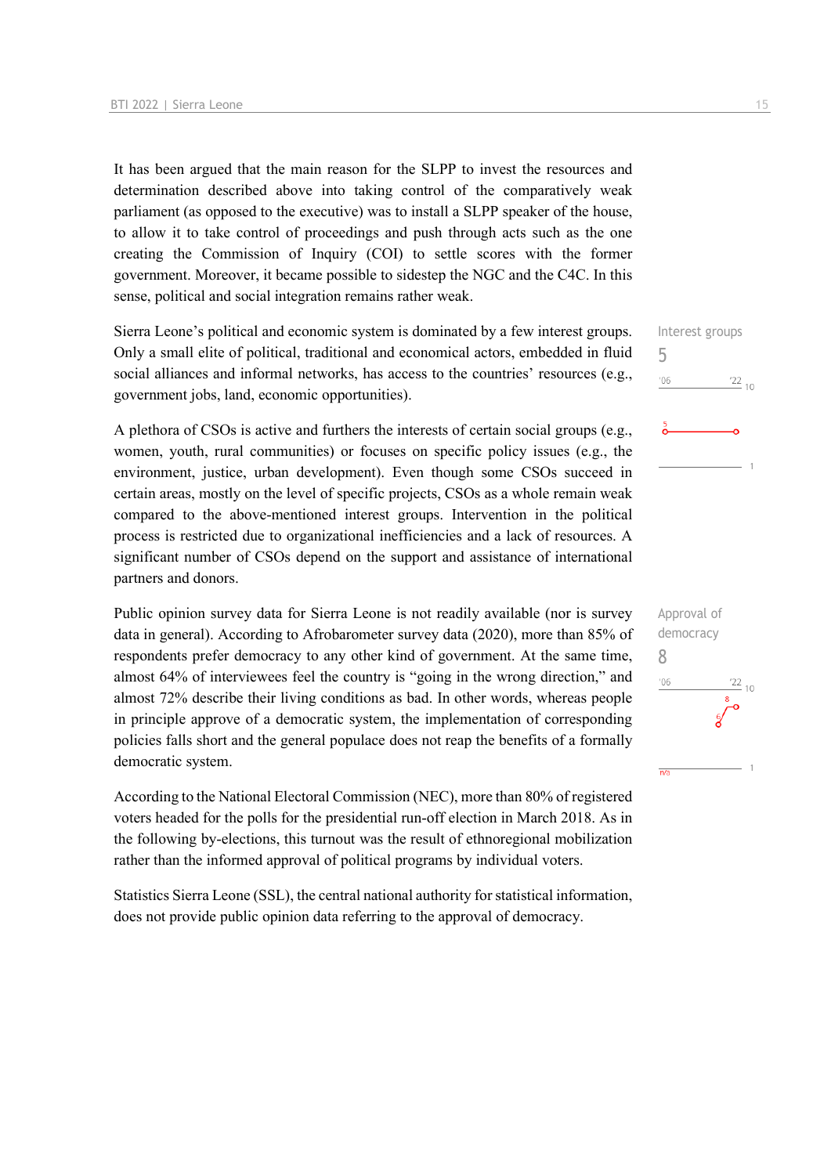It has been argued that the main reason for the SLPP to invest the resources and determination described above into taking control of the comparatively weak parliament (as opposed to the executive) was to install a SLPP speaker of the house, to allow it to take control of proceedings and push through acts such as the one creating the Commission of Inquiry (COI) to settle scores with the former government. Moreover, it became possible to sidestep the NGC and the C4C. In this sense, political and social integration remains rather weak.

Sierra Leone's political and economic system is dominated by a few interest groups. Only a small elite of political, traditional and economical actors, embedded in fluid social alliances and informal networks, has access to the countries' resources (e.g., government jobs, land, economic opportunities).

A plethora of CSOs is active and furthers the interests of certain social groups (e.g., women, youth, rural communities) or focuses on specific policy issues (e.g., the environment, justice, urban development). Even though some CSOs succeed in certain areas, mostly on the level of specific projects, CSOs as a whole remain weak compared to the above-mentioned interest groups. Intervention in the political process is restricted due to organizational inefficiencies and a lack of resources. A significant number of CSOs depend on the support and assistance of international partners and donors.

Public opinion survey data for Sierra Leone is not readily available (nor is survey data in general). According to Afrobarometer survey data (2020), more than 85% of respondents prefer democracy to any other kind of government. At the same time, almost 64% of interviewees feel the country is "going in the wrong direction," and almost 72% describe their living conditions as bad. In other words, whereas people in principle approve of a democratic system, the implementation of corresponding policies falls short and the general populace does not reap the benefits of a formally democratic system.

According to the National Electoral Commission (NEC), more than 80% of registered voters headed for the polls for the presidential run-off election in March 2018. As in the following by-elections, this turnout was the result of ethnoregional mobilization rather than the informed approval of political programs by individual voters.

Statistics Sierra Leone (SSL), the central national authority for statistical information, does not provide public opinion data referring to the approval of democracy.

## Interest groups 5  $\frac{22}{10}$  $'06$

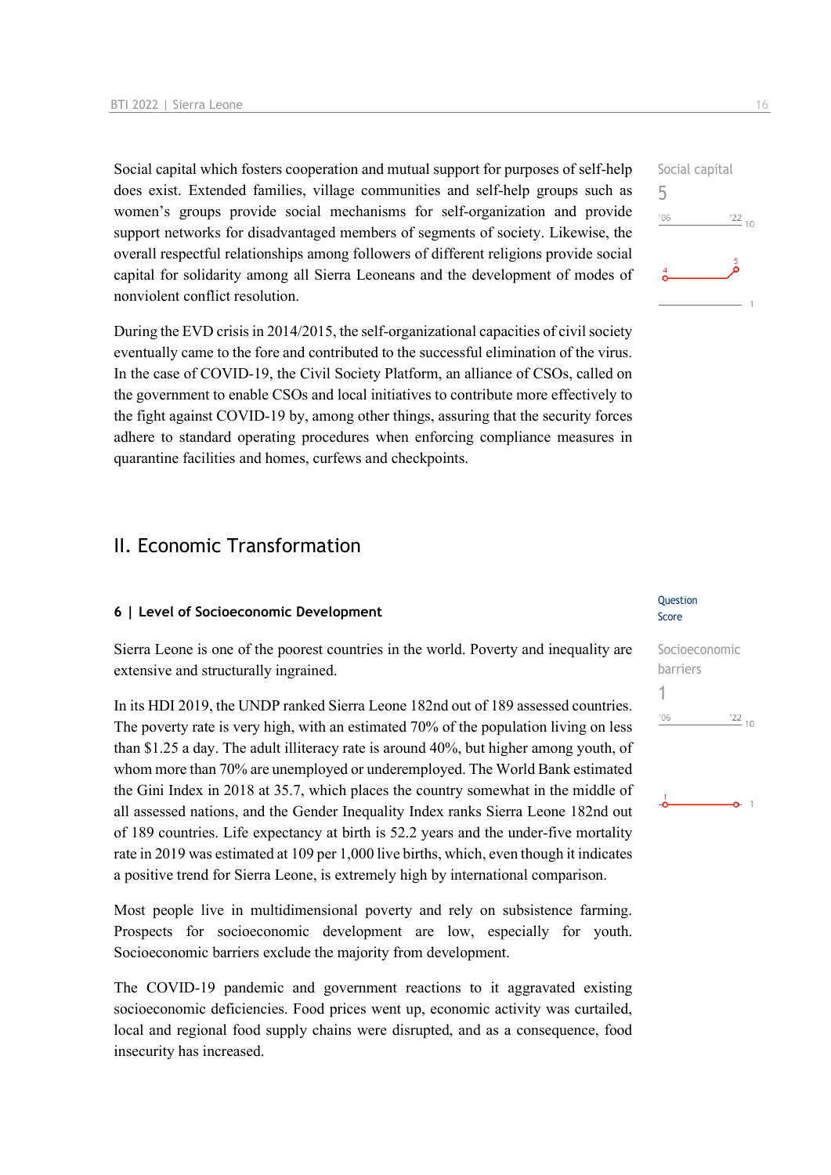Social capital which fosters cooperation and mutual support for purposes of self-help does exist. Extended families, village communities and self-help groups such as women's groups provide social mechanisms for self-organization and provide support networks for disadvantaged members of segments of society. Likewise, the overall respectful relationships among followers of different religions provide social capital for solidarity among all Sierra Leoneans and the development of modes of nonviolent conflict resolution.

During the EVD crisis in 2014/2015, the self-organizational capacities of civil society eventually came to the fore and contributed to the successful elimination of the virus. In the case of COVID-19, the Civil Society Platform, an alliance of CSOs, called on the government to enable CSOs and local initiatives to contribute more effectively to the fight against COVID-19 by, among other things, assuring that the security forces adhere to standard operating procedures when enforcing compliance measures in quarantine facilities and homes, curfews and checkpoints.

## II. Economic Transformation

#### **6 | Level of Socioeconomic Development**

Sierra Leone is one of the poorest countries in the world. Poverty and inequality are extensive and structurally ingrained.

In its HDI 2019, the UNDP ranked Sierra Leone 182nd out of 189 assessed countries. The poverty rate is very high, with an estimated 70% of the population living on less than \$1.25 a day. The adult illiteracy rate is around 40%, but higher among youth, of whom more than 70% are unemployed or underemployed. The World Bank estimated the Gini Index in 2018 at 35.7, which places the country somewhat in the middle of all assessed nations, and the Gender Inequality Index ranks Sierra Leone 182nd out of 189 countries. Life expectancy at birth is 52.2 years and the under-five mortality rate in 2019 was estimated at 109 per 1,000 live births, which, even though it indicates a positive trend for Sierra Leone, is extremely high by international comparison.

Most people live in multidimensional poverty and rely on subsistence farming. Prospects for socioeconomic development are low, especially for youth. Socioeconomic barriers exclude the majority from development.

The COVID-19 pandemic and government reactions to it aggravated existing socioeconomic deficiencies. Food prices went up, economic activity was curtailed, local and regional food supply chains were disrupted, and as a consequence, food insecurity has increased.

#### Question Score

| Socioeconomic |                 |  |
|---------------|-----------------|--|
| barriers      |                 |  |
|               |                 |  |
| 106           | $\frac{22}{10}$ |  |
|               |                 |  |
|               |                 |  |
|               |                 |  |

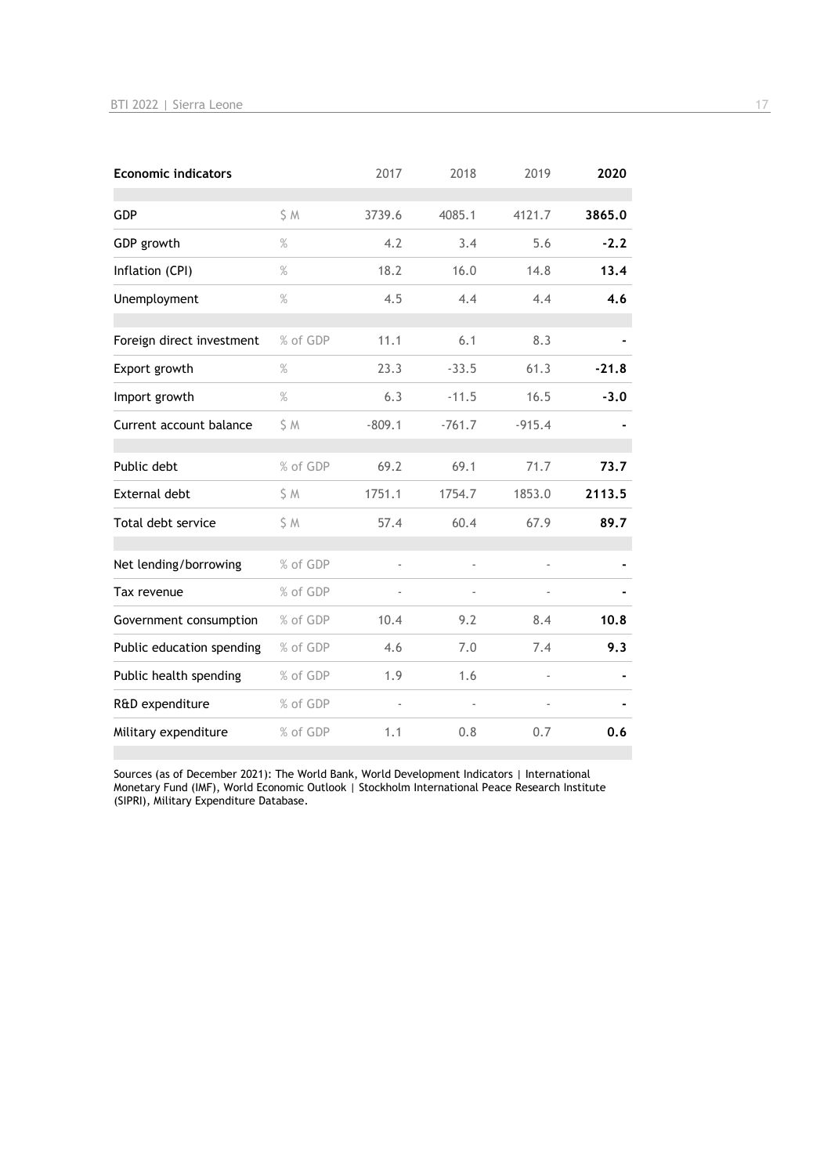| <b>Economic indicators</b> |          | 2017     | 2018     | 2019                     | 2020    |
|----------------------------|----------|----------|----------|--------------------------|---------|
| <b>GDP</b>                 | \$M      | 3739.6   | 4085.1   | 4121.7                   | 3865.0  |
| GDP growth                 | $\%$     | 4.2      | 3.4      | 5.6                      | $-2.2$  |
| Inflation (CPI)            | $\%$     | 18.2     | 16.0     | 14.8                     | 13.4    |
| Unemployment               | $\%$     | 4.5      | 4.4      | 4.4                      | 4.6     |
| Foreign direct investment  | % of GDP | 11.1     | 6.1      | 8.3                      |         |
| Export growth              | $\%$     | 23.3     | $-33.5$  | 61.3                     | $-21.8$ |
| Import growth              | $\%$     | 6.3      | $-11.5$  | 16.5                     | $-3.0$  |
| Current account balance    | \$ M     | $-809.1$ | $-761.7$ | $-915.4$                 |         |
| Public debt                | % of GDP | 69.2     | 69.1     | 71.7                     | 73.7    |
| <b>External debt</b>       | \$ M     | 1751.1   | 1754.7   | 1853.0                   | 2113.5  |
| Total debt service         | \$ M     | 57.4     | 60.4     | 67.9                     | 89.7    |
| Net lending/borrowing      | % of GDP | ä,       |          | $\overline{\phantom{a}}$ |         |
| Tax revenue                | % of GDP |          |          |                          |         |
| Government consumption     | % of GDP | 10.4     | 9.2      | 8.4                      | 10.8    |
| Public education spending  | % of GDP | 4.6      | 7.0      | 7.4                      | 9.3     |
| Public health spending     | % of GDP | 1.9      | 1.6      |                          |         |
| R&D expenditure            | % of GDP |          |          |                          |         |
| Military expenditure       | % of GDP | 1.1      | 0.8      | 0.7                      | 0.6     |

Sources (as of December 2021): The World Bank, World Development Indicators | International Monetary Fund (IMF), World Economic Outlook | Stockholm International Peace Research Institute (SIPRI), Military Expenditure Database.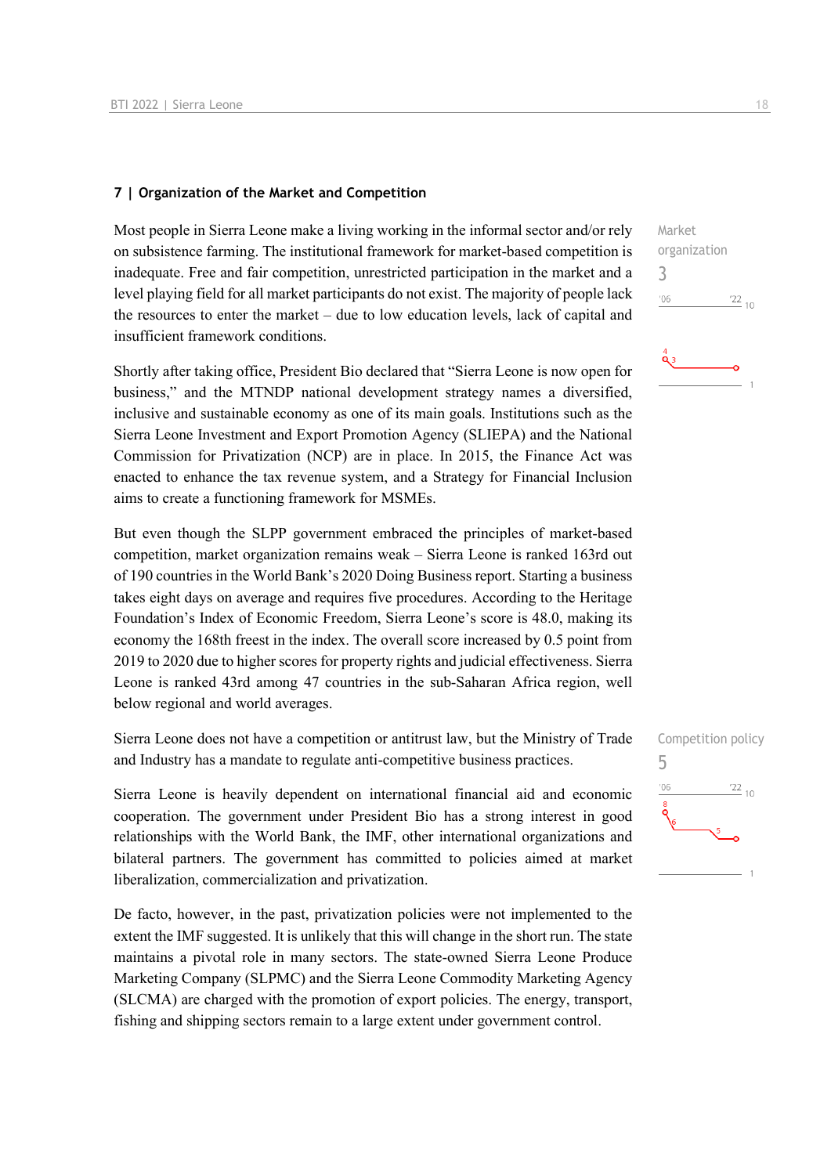#### **7 | Organization of the Market and Competition**

Most people in Sierra Leone make a living working in the informal sector and/or rely on subsistence farming. The institutional framework for market-based competition is inadequate. Free and fair competition, unrestricted participation in the market and a level playing field for all market participants do not exist. The majority of people lack the resources to enter the market – due to low education levels, lack of capital and insufficient framework conditions.

Shortly after taking office, President Bio declared that "Sierra Leone is now open for business," and the MTNDP national development strategy names a diversified, inclusive and sustainable economy as one of its main goals. Institutions such as the Sierra Leone Investment and Export Promotion Agency (SLIEPA) and the National Commission for Privatization (NCP) are in place. In 2015, the Finance Act was enacted to enhance the tax revenue system, and a Strategy for Financial Inclusion aims to create a functioning framework for MSMEs.

But even though the SLPP government embraced the principles of market-based competition, market organization remains weak – Sierra Leone is ranked 163rd out of 190 countries in the World Bank's 2020 Doing Business report. Starting a business takes eight days on average and requires five procedures. According to the Heritage Foundation's Index of Economic Freedom, Sierra Leone's score is 48.0, making its economy the 168th freest in the index. The overall score increased by 0.5 point from 2019 to 2020 due to higher scores for property rights and judicial effectiveness. Sierra Leone is ranked 43rd among 47 countries in the sub-Saharan Africa region, well below regional and world averages.

Sierra Leone does not have a competition or antitrust law, but the Ministry of Trade and Industry has a mandate to regulate anti-competitive business practices.

Sierra Leone is heavily dependent on international financial aid and economic cooperation. The government under President Bio has a strong interest in good relationships with the World Bank, the IMF, other international organizations and bilateral partners. The government has committed to policies aimed at market liberalization, commercialization and privatization.

De facto, however, in the past, privatization policies were not implemented to the extent the IMF suggested. It is unlikely that this will change in the short run. The state maintains a pivotal role in many sectors. The state-owned Sierra Leone Produce Marketing Company (SLPMC) and the Sierra Leone Commodity Marketing Agency (SLCMA) are charged with the promotion of export policies. The energy, transport, fishing and shipping sectors remain to a large extent under government control.



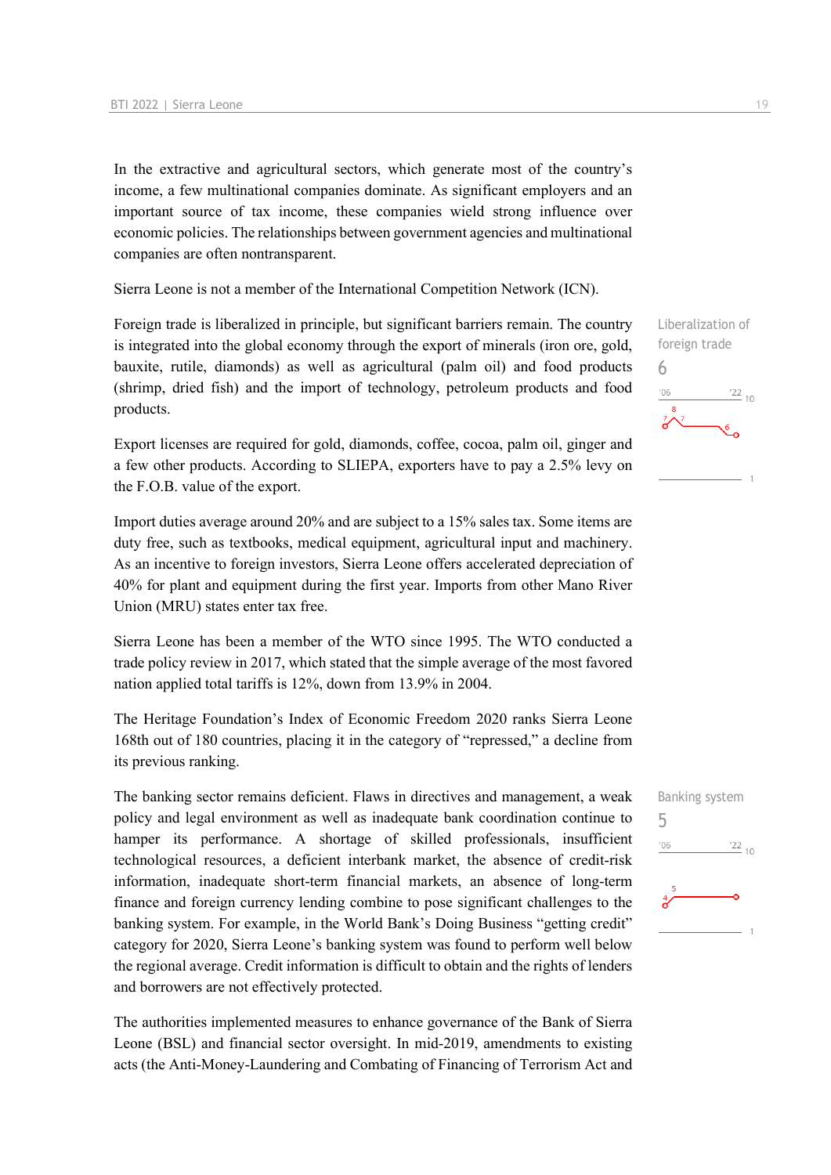In the extractive and agricultural sectors, which generate most of the country's income, a few multinational companies dominate. As significant employers and an important source of tax income, these companies wield strong influence over economic policies. The relationships between government agencies and multinational companies are often nontransparent.

Sierra Leone is not a member of the International Competition Network (ICN).

Foreign trade is liberalized in principle, but significant barriers remain. The country is integrated into the global economy through the export of minerals (iron ore, gold, bauxite, rutile, diamonds) as well as agricultural (palm oil) and food products (shrimp, dried fish) and the import of technology, petroleum products and food products.

Export licenses are required for gold, diamonds, coffee, cocoa, palm oil, ginger and a few other products. According to SLIEPA, exporters have to pay a 2.5% levy on the F.O.B. value of the export.

Import duties average around 20% and are subject to a 15% sales tax. Some items are duty free, such as textbooks, medical equipment, agricultural input and machinery. As an incentive to foreign investors, Sierra Leone offers accelerated depreciation of 40% for plant and equipment during the first year. Imports from other Mano River Union (MRU) states enter tax free.

Sierra Leone has been a member of the WTO since 1995. The WTO conducted a trade policy review in 2017, which stated that the simple average of the most favored nation applied total tariffs is 12%, down from 13.9% in 2004.

The Heritage Foundation's Index of Economic Freedom 2020 ranks Sierra Leone 168th out of 180 countries, placing it in the category of "repressed," a decline from its previous ranking.

The banking sector remains deficient. Flaws in directives and management, a weak policy and legal environment as well as inadequate bank coordination continue to hamper its performance. A shortage of skilled professionals, insufficient technological resources, a deficient interbank market, the absence of credit-risk information, inadequate short-term financial markets, an absence of long-term finance and foreign currency lending combine to pose significant challenges to the banking system. For example, in the World Bank's Doing Business "getting credit" category for 2020, Sierra Leone's banking system was found to perform well below the regional average. Credit information is difficult to obtain and the rights of lenders and borrowers are not effectively protected.

The authorities implemented measures to enhance governance of the Bank of Sierra Leone (BSL) and financial sector oversight. In mid-2019, amendments to existing acts (the Anti-Money-Laundering and Combating of Financing of Terrorism Act and Liberalization of foreign trade 6  $\frac{22}{10}$ 

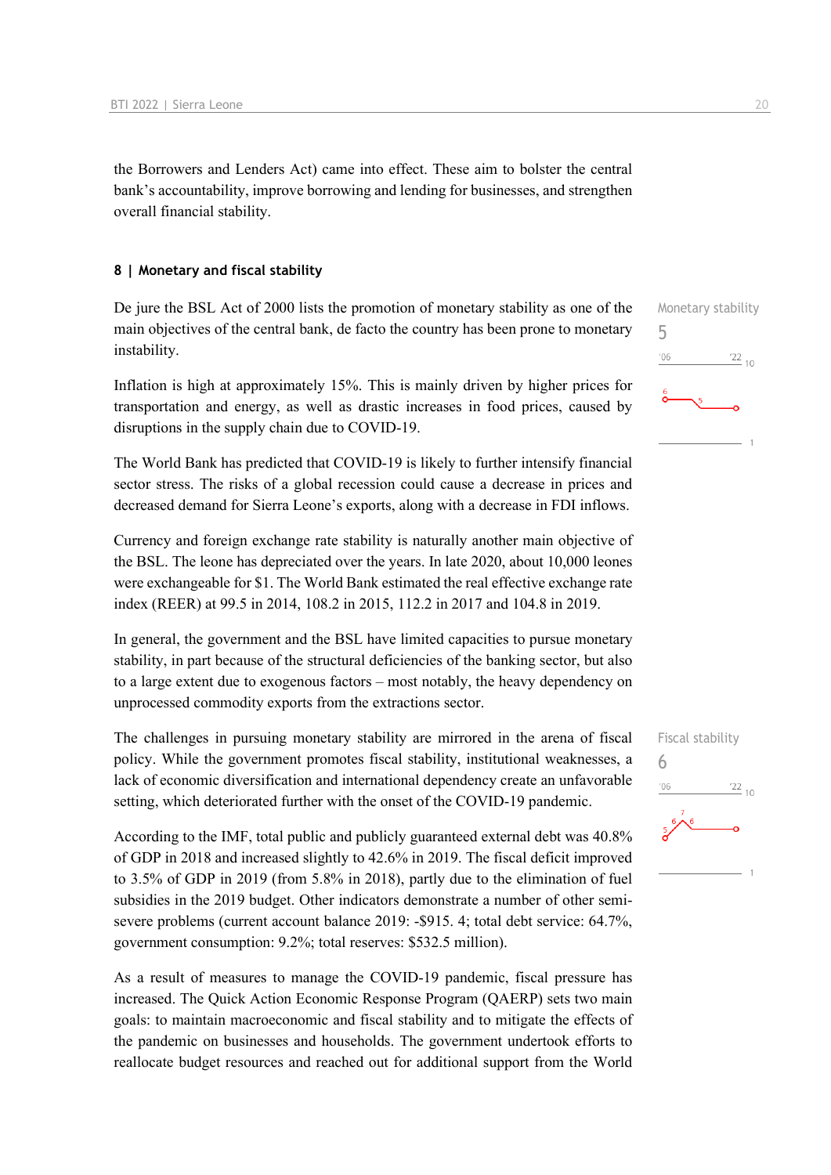the Borrowers and Lenders Act) came into effect. These aim to bolster the central bank's accountability, improve borrowing and lending for businesses, and strengthen overall financial stability.

#### **8 | Monetary and fiscal stability**

De jure the BSL Act of 2000 lists the promotion of monetary stability as one of the main objectives of the central bank, de facto the country has been prone to monetary instability.

Inflation is high at approximately 15%. This is mainly driven by higher prices for transportation and energy, as well as drastic increases in food prices, caused by disruptions in the supply chain due to COVID-19.

The World Bank has predicted that COVID-19 is likely to further intensify financial sector stress. The risks of a global recession could cause a decrease in prices and decreased demand for Sierra Leone's exports, along with a decrease in FDI inflows.

Currency and foreign exchange rate stability is naturally another main objective of the BSL. The leone has depreciated over the years. In late 2020, about 10,000 leones were exchangeable for \$1. The World Bank estimated the real effective exchange rate index (REER) at 99.5 in 2014, 108.2 in 2015, 112.2 in 2017 and 104.8 in 2019.

In general, the government and the BSL have limited capacities to pursue monetary stability, in part because of the structural deficiencies of the banking sector, but also to a large extent due to exogenous factors – most notably, the heavy dependency on unprocessed commodity exports from the extractions sector.

The challenges in pursuing monetary stability are mirrored in the arena of fiscal policy. While the government promotes fiscal stability, institutional weaknesses, a lack of economic diversification and international dependency create an unfavorable setting, which deteriorated further with the onset of the COVID-19 pandemic.

According to the IMF, total public and publicly guaranteed external debt was 40.8% of GDP in 2018 and increased slightly to 42.6% in 2019. The fiscal deficit improved to 3.5% of GDP in 2019 (from 5.8% in 2018), partly due to the elimination of fuel subsidies in the 2019 budget. Other indicators demonstrate a number of other semisevere problems (current account balance 2019: -\$915. 4; total debt service: 64.7%, government consumption: 9.2%; total reserves: \$532.5 million).

As a result of measures to manage the COVID-19 pandemic, fiscal pressure has increased. The Quick Action Economic Response Program (QAERP) sets two main goals: to maintain macroeconomic and fiscal stability and to mitigate the effects of the pandemic on businesses and households. The government undertook efforts to reallocate budget resources and reached out for additional support from the World

Monetary stability 5  $\frac{22}{10}$  $^{\prime}06$ 

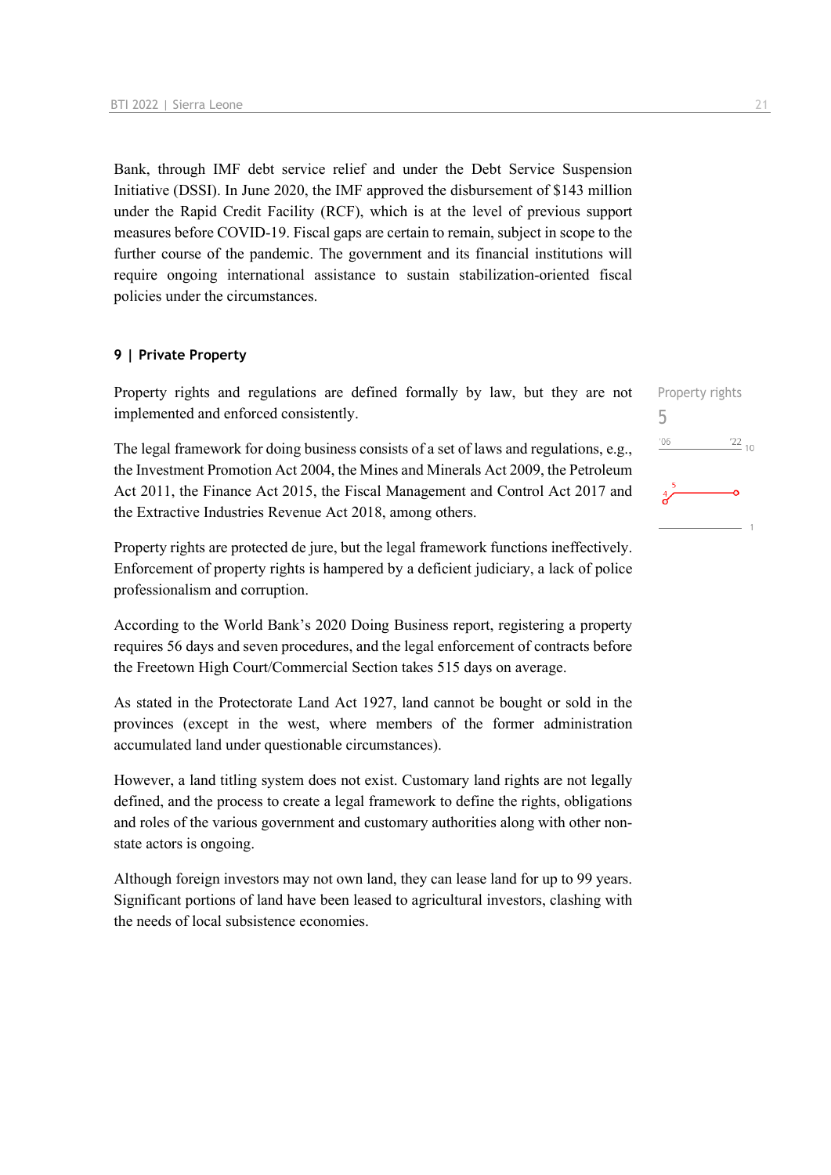Bank, through IMF debt service relief and under the Debt Service Suspension Initiative (DSSI). In June 2020, the IMF approved the disbursement of \$143 million under the Rapid Credit Facility (RCF), which is at the level of previous support measures before COVID-19. Fiscal gaps are certain to remain, subject in scope to the further course of the pandemic. The government and its financial institutions will require ongoing international assistance to sustain stabilization-oriented fiscal policies under the circumstances.

#### **9 | Private Property**

Property rights and regulations are defined formally by law, but they are not implemented and enforced consistently.

The legal framework for doing business consists of a set of laws and regulations, e.g., the Investment Promotion Act 2004, the Mines and Minerals Act 2009, the Petroleum Act 2011, the Finance Act 2015, the Fiscal Management and Control Act 2017 and the Extractive Industries Revenue Act 2018, among others.

Property rights are protected de jure, but the legal framework functions ineffectively. Enforcement of property rights is hampered by a deficient judiciary, a lack of police professionalism and corruption.

According to the World Bank's 2020 Doing Business report, registering a property requires 56 days and seven procedures, and the legal enforcement of contracts before the Freetown High Court/Commercial Section takes 515 days on average.

As stated in the Protectorate Land Act 1927, land cannot be bought or sold in the provinces (except in the west, where members of the former administration accumulated land under questionable circumstances).

However, a land titling system does not exist. Customary land rights are not legally defined, and the process to create a legal framework to define the rights, obligations and roles of the various government and customary authorities along with other nonstate actors is ongoing.

Although foreign investors may not own land, they can lease land for up to 99 years. Significant portions of land have been leased to agricultural investors, clashing with the needs of local subsistence economies.

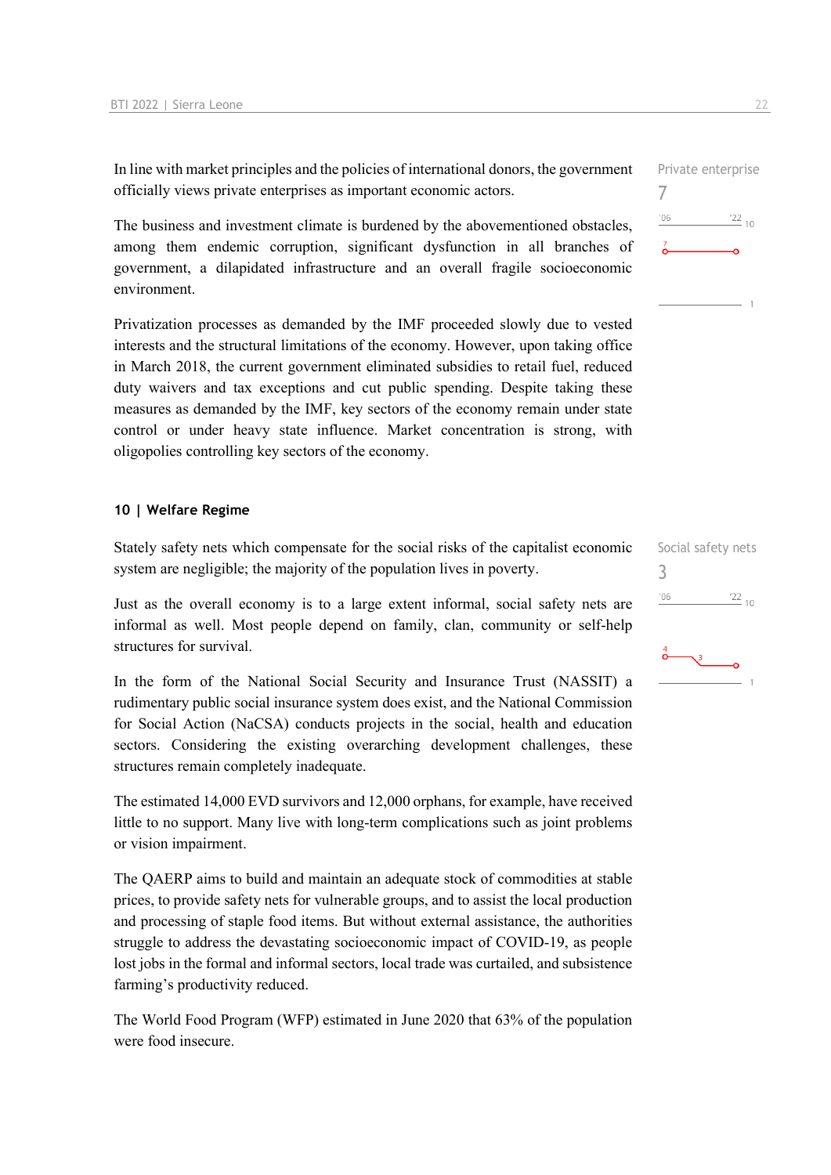In line with market principles and the policies of international donors, the government officially views private enterprises as important economic actors.

The business and investment climate is burdened by the abovementioned obstacles, among them endemic corruption, significant dysfunction in all branches of government, a dilapidated infrastructure and an overall fragile socioeconomic environment.

Privatization processes as demanded by the IMF proceeded slowly due to vested interests and the structural limitations of the economy. However, upon taking office in March 2018, the current government eliminated subsidies to retail fuel, reduced duty waivers and tax exceptions and cut public spending. Despite taking these measures as demanded by the IMF, key sectors of the economy remain under state control or under heavy state influence. Market concentration is strong, with oligopolies controlling key sectors of the economy.

#### **10 | Welfare Regime**

Stately safety nets which compensate for the social risks of the capitalist economic system are negligible; the majority of the population lives in poverty.

Just as the overall economy is to a large extent informal, social safety nets are informal as well. Most people depend on family, clan, community or self-help structures for survival.

In the form of the National Social Security and Insurance Trust (NASSIT) a rudimentary public social insurance system does exist, and the National Commission for Social Action (NaCSA) conducts projects in the social, health and education sectors. Considering the existing overarching development challenges, these structures remain completely inadequate.

The estimated 14,000 EVD survivors and 12,000 orphans, for example, have received little to no support. Many live with long-term complications such as joint problems or vision impairment.

The QAERP aims to build and maintain an adequate stock of commodities at stable prices, to provide safety nets for vulnerable groups, and to assist the local production and processing of staple food items. But without external assistance, the authorities struggle to address the devastating socioeconomic impact of COVID-19, as people lost jobs in the formal and informal sectors, local trade was curtailed, and subsistence farming's productivity reduced.

The World Food Program (WFP) estimated in June 2020 that 63% of the population were food insecure.





 $\overline{1}$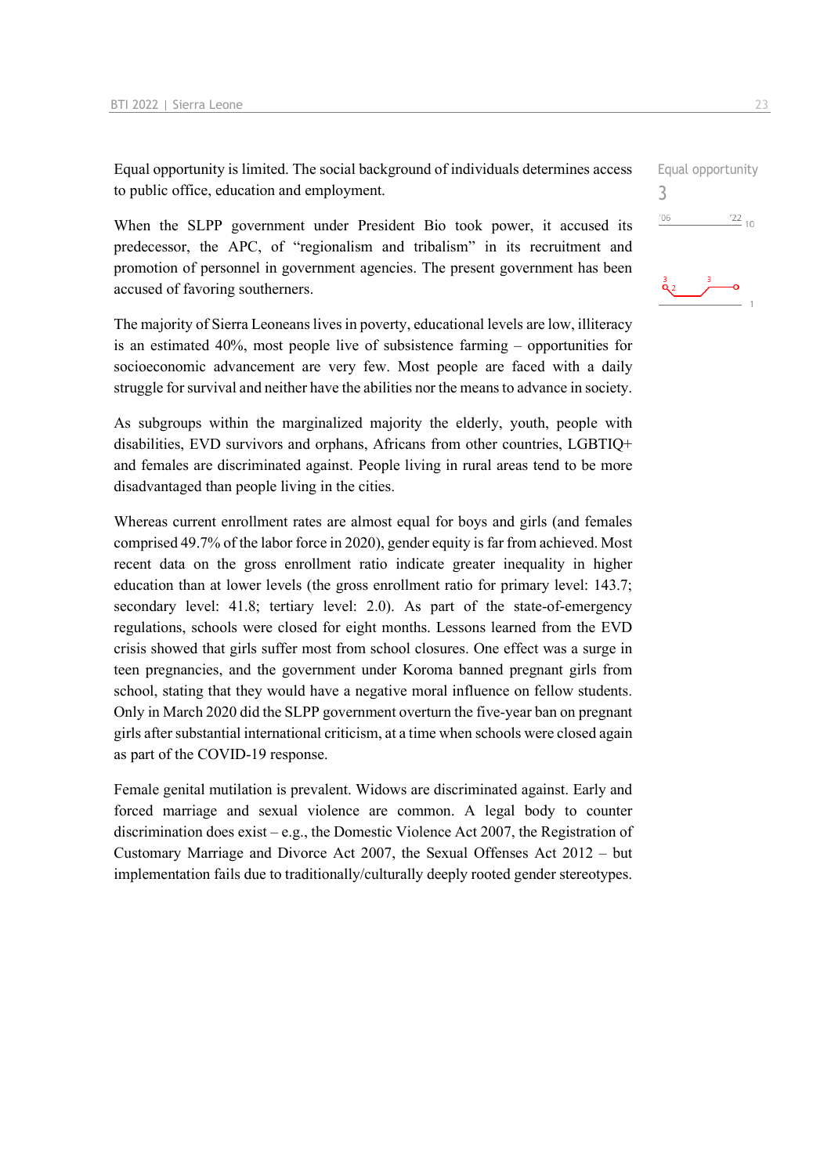Equal opportunity is limited. The social background of individuals determines access to public office, education and employment.

When the SLPP government under President Bio took power, it accused its predecessor, the APC, of "regionalism and tribalism" in its recruitment and promotion of personnel in government agencies. The present government has been accused of favoring southerners.

The majority of Sierra Leoneans lives in poverty, educational levels are low, illiteracy is an estimated 40%, most people live of subsistence farming – opportunities for socioeconomic advancement are very few. Most people are faced with a daily struggle for survival and neither have the abilities nor the means to advance in society.

As subgroups within the marginalized majority the elderly, youth, people with disabilities, EVD survivors and orphans, Africans from other countries, LGBTIQ+ and females are discriminated against. People living in rural areas tend to be more disadvantaged than people living in the cities.

Whereas current enrollment rates are almost equal for boys and girls (and females comprised 49.7% of the labor force in 2020), gender equity is far from achieved. Most recent data on the gross enrollment ratio indicate greater inequality in higher education than at lower levels (the gross enrollment ratio for primary level: 143.7; secondary level: 41.8; tertiary level: 2.0). As part of the state-of-emergency regulations, schools were closed for eight months. Lessons learned from the EVD crisis showed that girls suffer most from school closures. One effect was a surge in teen pregnancies, and the government under Koroma banned pregnant girls from school, stating that they would have a negative moral influence on fellow students. Only in March 2020 did the SLPP government overturn the five-year ban on pregnant girls after substantial international criticism, at a time when schools were closed again as part of the COVID-19 response.

Female genital mutilation is prevalent. Widows are discriminated against. Early and forced marriage and sexual violence are common. A legal body to counter discrimination does exist – e.g., the Domestic Violence Act 2007, the Registration of Customary Marriage and Divorce Act 2007, the Sexual Offenses Act 2012 – but implementation fails due to traditionally/culturally deeply rooted gender stereotypes.



Equal opportunity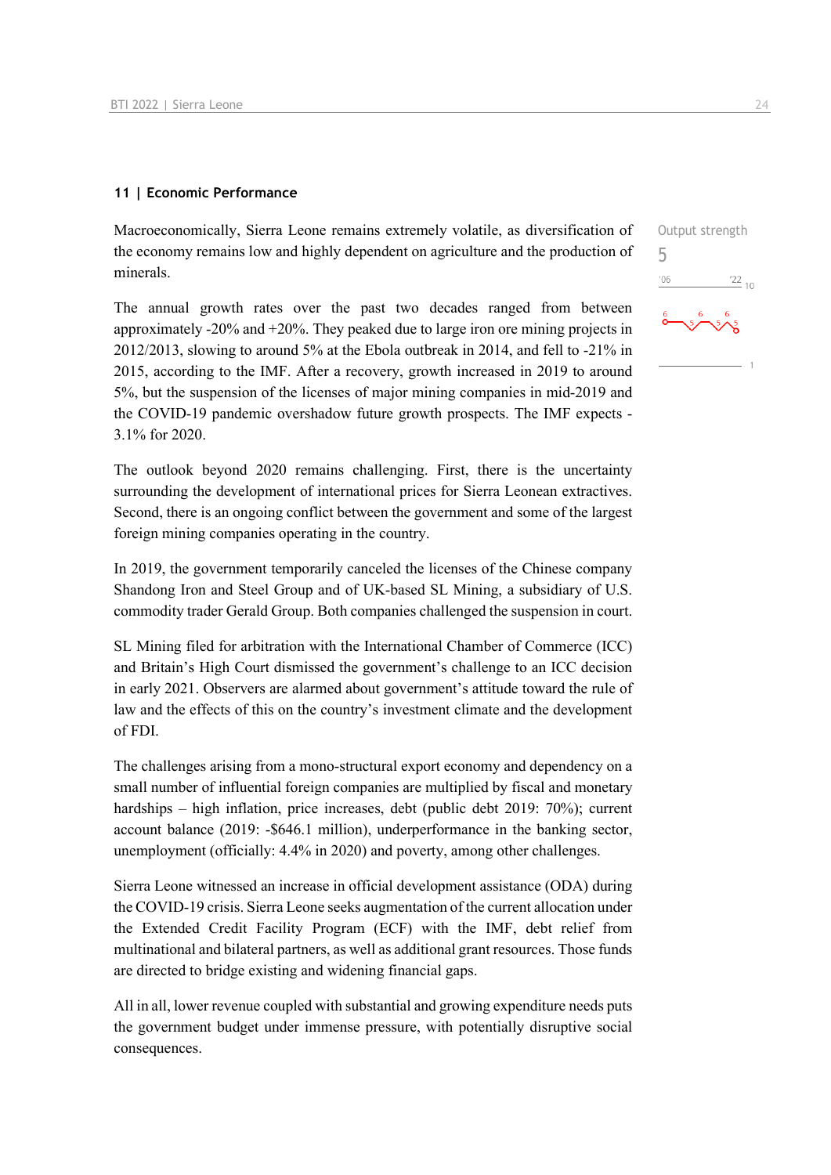#### **11 | Economic Performance**

Macroeconomically, Sierra Leone remains extremely volatile, as diversification of the economy remains low and highly dependent on agriculture and the production of minerals.

The annual growth rates over the past two decades ranged from between approximately -20% and +20%. They peaked due to large iron ore mining projects in 2012/2013, slowing to around 5% at the Ebola outbreak in 2014, and fell to -21% in 2015, according to the IMF. After a recovery, growth increased in 2019 to around 5%, but the suspension of the licenses of major mining companies in mid-2019 and the COVID-19 pandemic overshadow future growth prospects. The IMF expects - 3.1% for 2020.

The outlook beyond 2020 remains challenging. First, there is the uncertainty surrounding the development of international prices for Sierra Leonean extractives. Second, there is an ongoing conflict between the government and some of the largest foreign mining companies operating in the country.

In 2019, the government temporarily canceled the licenses of the Chinese company Shandong Iron and Steel Group and of UK-based SL Mining, a subsidiary of U.S. commodity trader Gerald Group. Both companies challenged the suspension in court.

SL Mining filed for arbitration with the International Chamber of Commerce (ICC) and Britain's High Court dismissed the government's challenge to an ICC decision in early 2021. Observers are alarmed about government's attitude toward the rule of law and the effects of this on the country's investment climate and the development of FDI.

The challenges arising from a mono-structural export economy and dependency on a small number of influential foreign companies are multiplied by fiscal and monetary hardships – high inflation, price increases, debt (public debt 2019: 70%); current account balance (2019: -\$646.1 million), underperformance in the banking sector, unemployment (officially: 4.4% in 2020) and poverty, among other challenges.

Sierra Leone witnessed an increase in official development assistance (ODA) during the COVID-19 crisis. Sierra Leone seeks augmentation of the current allocation under the Extended Credit Facility Program (ECF) with the IMF, debt relief from multinational and bilateral partners, as well as additional grant resources. Those funds are directed to bridge existing and widening financial gaps.

All in all, lower revenue coupled with substantial and growing expenditure needs puts the government budget under immense pressure, with potentially disruptive social consequences.

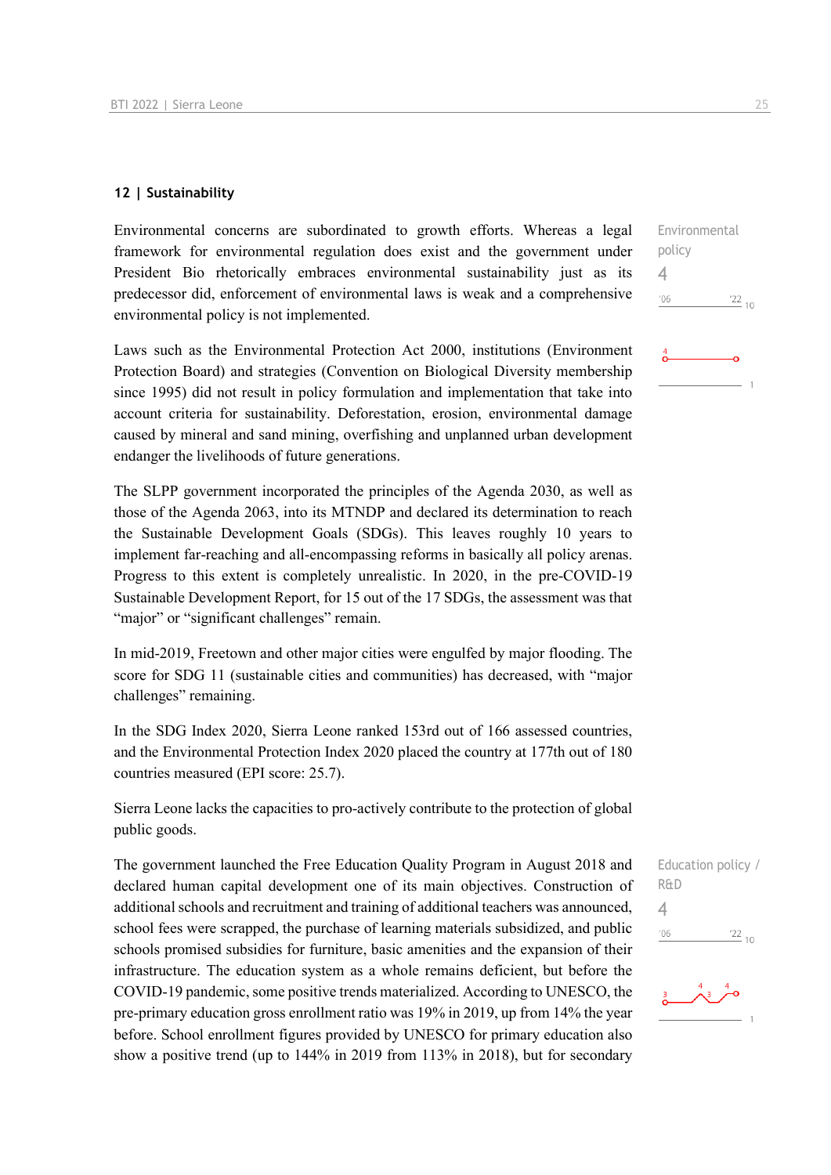#### **12 | Sustainability**

Environmental concerns are subordinated to growth efforts. Whereas a legal framework for environmental regulation does exist and the government under President Bio rhetorically embraces environmental sustainability just as its predecessor did, enforcement of environmental laws is weak and a comprehensive environmental policy is not implemented.

Laws such as the Environmental Protection Act 2000, institutions (Environment Protection Board) and strategies (Convention on Biological Diversity membership since 1995) did not result in policy formulation and implementation that take into account criteria for sustainability. Deforestation, erosion, environmental damage caused by mineral and sand mining, overfishing and unplanned urban development endanger the livelihoods of future generations.

The SLPP government incorporated the principles of the Agenda 2030, as well as those of the Agenda 2063, into its MTNDP and declared its determination to reach the Sustainable Development Goals (SDGs). This leaves roughly 10 years to implement far-reaching and all-encompassing reforms in basically all policy arenas. Progress to this extent is completely unrealistic. In 2020, in the pre-COVID-19 Sustainable Development Report, for 15 out of the 17 SDGs, the assessment was that "major" or "significant challenges" remain.

In mid-2019, Freetown and other major cities were engulfed by major flooding. The score for SDG 11 (sustainable cities and communities) has decreased, with "major challenges" remaining.

In the SDG Index 2020, Sierra Leone ranked 153rd out of 166 assessed countries, and the Environmental Protection Index 2020 placed the country at 177th out of 180 countries measured (EPI score: 25.7).

Sierra Leone lacks the capacities to pro-actively contribute to the protection of global public goods.

The government launched the Free Education Quality Program in August 2018 and declared human capital development one of its main objectives. Construction of additional schools and recruitment and training of additional teachers was announced, school fees were scrapped, the purchase of learning materials subsidized, and public schools promised subsidies for furniture, basic amenities and the expansion of their infrastructure. The education system as a whole remains deficient, but before the COVID-19 pandemic, some positive trends materialized. According to UNESCO, the pre-primary education gross enrollment ratio was 19% in 2019, up from 14% the year before. School enrollment figures provided by UNESCO for primary education also show a positive trend (up to 144% in 2019 from 113% in 2018), but for secondary

Environmental policy 4  $06'$  $\frac{22}{10}$ 

Education policy / R&D 4 $\frac{22}{10}$  $-06$ 

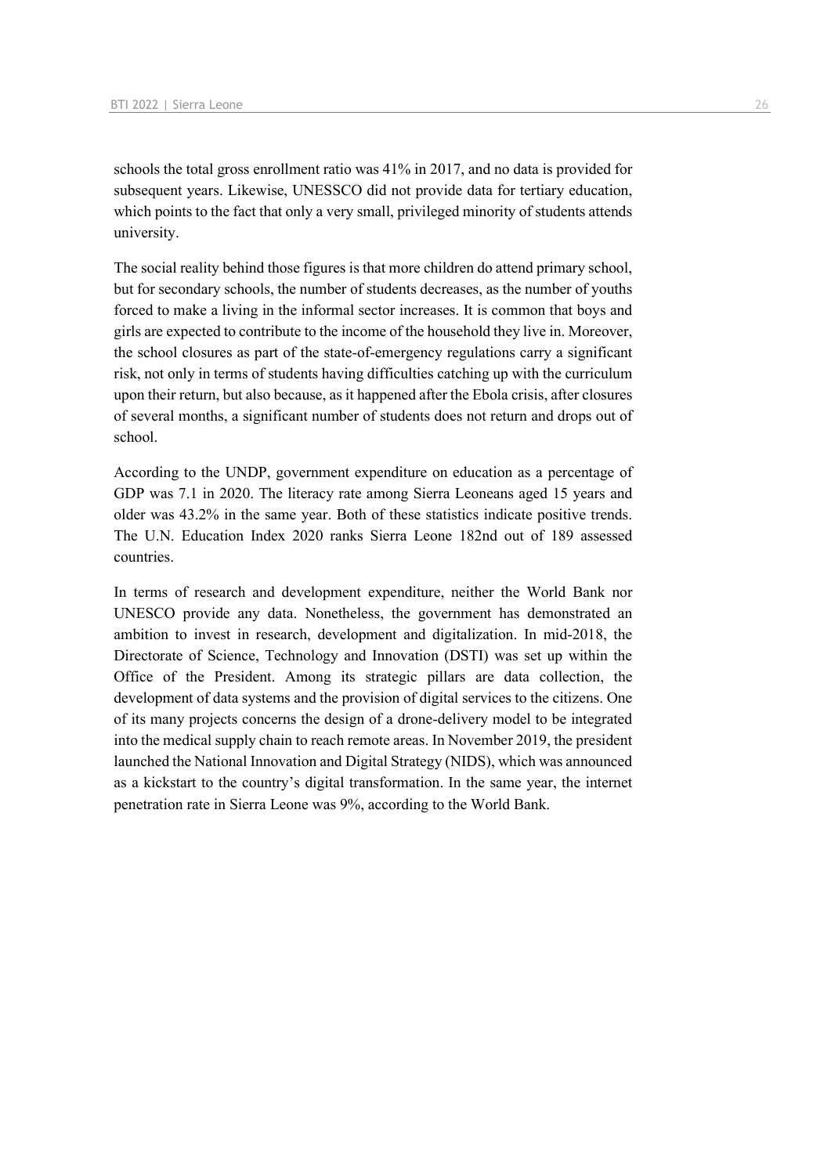schools the total gross enrollment ratio was 41% in 2017, and no data is provided for subsequent years. Likewise, UNESSCO did not provide data for tertiary education, which points to the fact that only a very small, privileged minority of students attends university.

The social reality behind those figures is that more children do attend primary school, but for secondary schools, the number of students decreases, as the number of youths forced to make a living in the informal sector increases. It is common that boys and girls are expected to contribute to the income of the household they live in. Moreover, the school closures as part of the state-of-emergency regulations carry a significant risk, not only in terms of students having difficulties catching up with the curriculum upon their return, but also because, as it happened after the Ebola crisis, after closures of several months, a significant number of students does not return and drops out of school.

According to the UNDP, government expenditure on education as a percentage of GDP was 7.1 in 2020. The literacy rate among Sierra Leoneans aged 15 years and older was 43.2% in the same year. Both of these statistics indicate positive trends. The U.N. Education Index 2020 ranks Sierra Leone 182nd out of 189 assessed countries.

In terms of research and development expenditure, neither the World Bank nor UNESCO provide any data. Nonetheless, the government has demonstrated an ambition to invest in research, development and digitalization. In mid-2018, the Directorate of Science, Technology and Innovation (DSTI) was set up within the Office of the President. Among its strategic pillars are data collection, the development of data systems and the provision of digital services to the citizens. One of its many projects concerns the design of a drone-delivery model to be integrated into the medical supply chain to reach remote areas. In November 2019, the president launched the National Innovation and Digital Strategy (NIDS), which was announced as a kickstart to the country's digital transformation. In the same year, the internet penetration rate in Sierra Leone was 9%, according to the World Bank.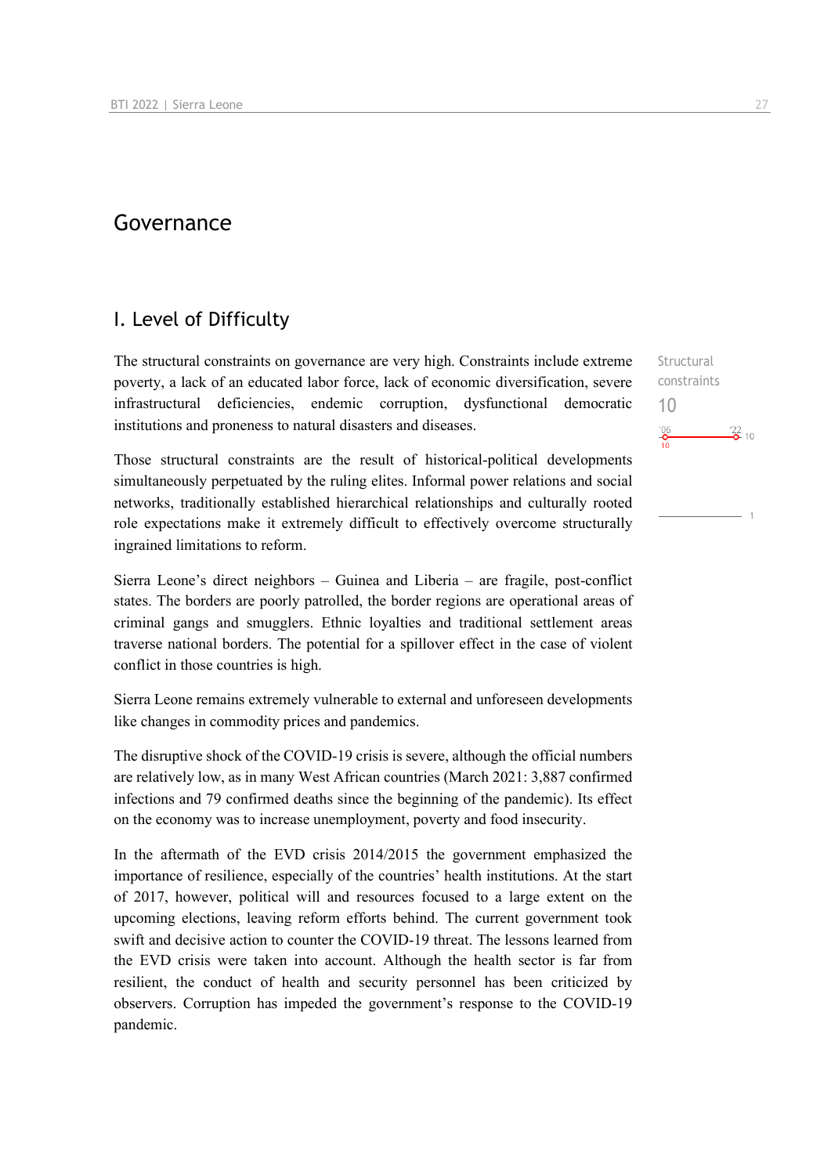## Governance

### I. Level of Difficulty

The structural constraints on governance are very high. Constraints include extreme poverty, a lack of an educated labor force, lack of economic diversification, severe infrastructural deficiencies, endemic corruption, dysfunctional democratic institutions and proneness to natural disasters and diseases.

Those structural constraints are the result of historical-political developments simultaneously perpetuated by the ruling elites. Informal power relations and social networks, traditionally established hierarchical relationships and culturally rooted role expectations make it extremely difficult to effectively overcome structurally ingrained limitations to reform.

Sierra Leone's direct neighbors – Guinea and Liberia – are fragile, post-conflict states. The borders are poorly patrolled, the border regions are operational areas of criminal gangs and smugglers. Ethnic loyalties and traditional settlement areas traverse national borders. The potential for a spillover effect in the case of violent conflict in those countries is high.

Sierra Leone remains extremely vulnerable to external and unforeseen developments like changes in commodity prices and pandemics.

The disruptive shock of the COVID-19 crisis is severe, although the official numbers are relatively low, as in many West African countries (March 2021: 3,887 confirmed infections and 79 confirmed deaths since the beginning of the pandemic). Its effect on the economy was to increase unemployment, poverty and food insecurity.

In the aftermath of the EVD crisis 2014/2015 the government emphasized the importance of resilience, especially of the countries' health institutions. At the start of 2017, however, political will and resources focused to a large extent on the upcoming elections, leaving reform efforts behind. The current government took swift and decisive action to counter the COVID-19 threat. The lessons learned from the EVD crisis were taken into account. Although the health sector is far from resilient, the conduct of health and security personnel has been criticized by observers. Corruption has impeded the government's response to the COVID-19 pandemic.

Structural constraints 10 $\frac{22}{2}$  10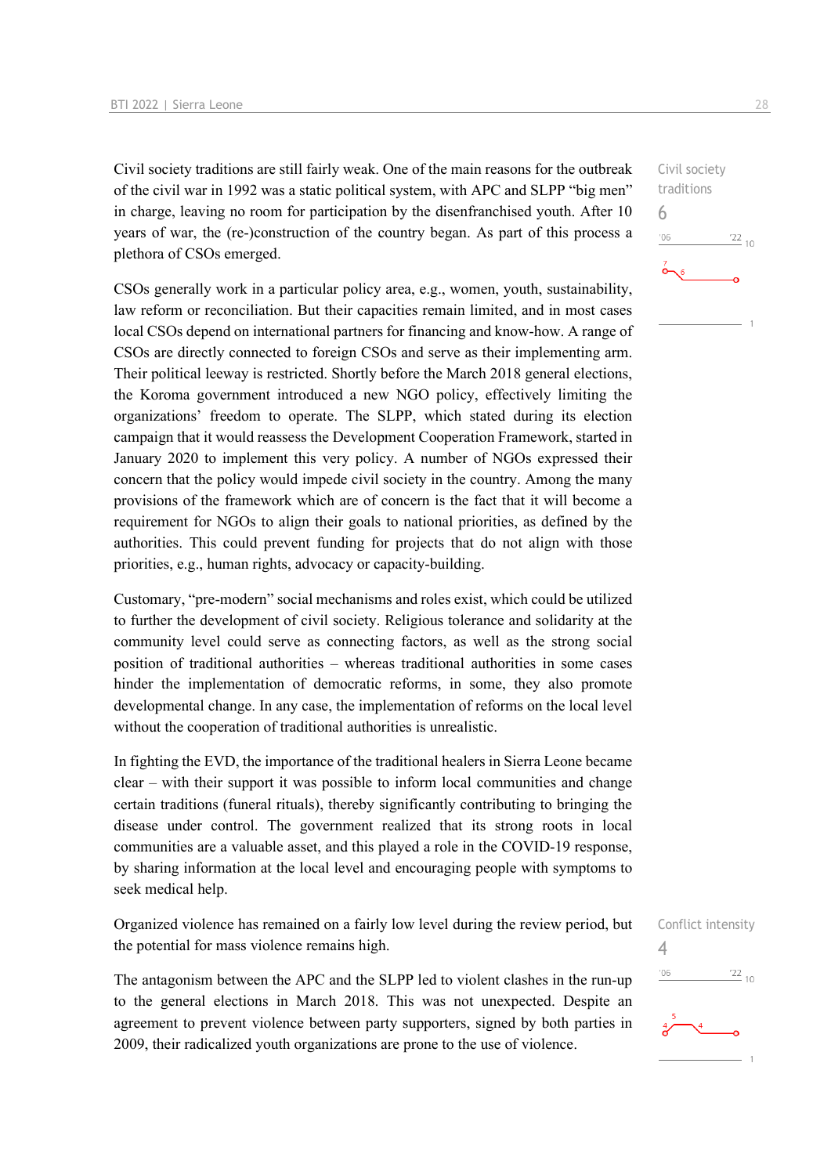Civil society traditions are still fairly weak. One of the main reasons for the outbreak of the civil war in 1992 was a static political system, with APC and SLPP "big men" in charge, leaving no room for participation by the disenfranchised youth. After 10 years of war, the (re-)construction of the country began. As part of this process a plethora of CSOs emerged.

CSOs generally work in a particular policy area, e.g., women, youth, sustainability, law reform or reconciliation. But their capacities remain limited, and in most cases local CSOs depend on international partners for financing and know-how. A range of CSOs are directly connected to foreign CSOs and serve as their implementing arm. Their political leeway is restricted. Shortly before the March 2018 general elections, the Koroma government introduced a new NGO policy, effectively limiting the organizations' freedom to operate. The SLPP, which stated during its election campaign that it would reassess the Development Cooperation Framework, started in January 2020 to implement this very policy. A number of NGOs expressed their concern that the policy would impede civil society in the country. Among the many provisions of the framework which are of concern is the fact that it will become a requirement for NGOs to align their goals to national priorities, as defined by the authorities. This could prevent funding for projects that do not align with those priorities, e.g., human rights, advocacy or capacity-building.

Customary, "pre-modern" social mechanisms and roles exist, which could be utilized to further the development of civil society. Religious tolerance and solidarity at the community level could serve as connecting factors, as well as the strong social position of traditional authorities – whereas traditional authorities in some cases hinder the implementation of democratic reforms, in some, they also promote developmental change. In any case, the implementation of reforms on the local level without the cooperation of traditional authorities is unrealistic.

In fighting the EVD, the importance of the traditional healers in Sierra Leone became clear – with their support it was possible to inform local communities and change certain traditions (funeral rituals), thereby significantly contributing to bringing the disease under control. The government realized that its strong roots in local communities are a valuable asset, and this played a role in the COVID-19 response, by sharing information at the local level and encouraging people with symptoms to seek medical help.

Organized violence has remained on a fairly low level during the review period, but the potential for mass violence remains high.

The antagonism between the APC and the SLPP led to violent clashes in the run-up to the general elections in March 2018. This was not unexpected. Despite an agreement to prevent violence between party supporters, signed by both parties in 2009, their radicalized youth organizations are prone to the use of violence.

Civil society traditions 6  $106$  $\frac{22}{10}$ 

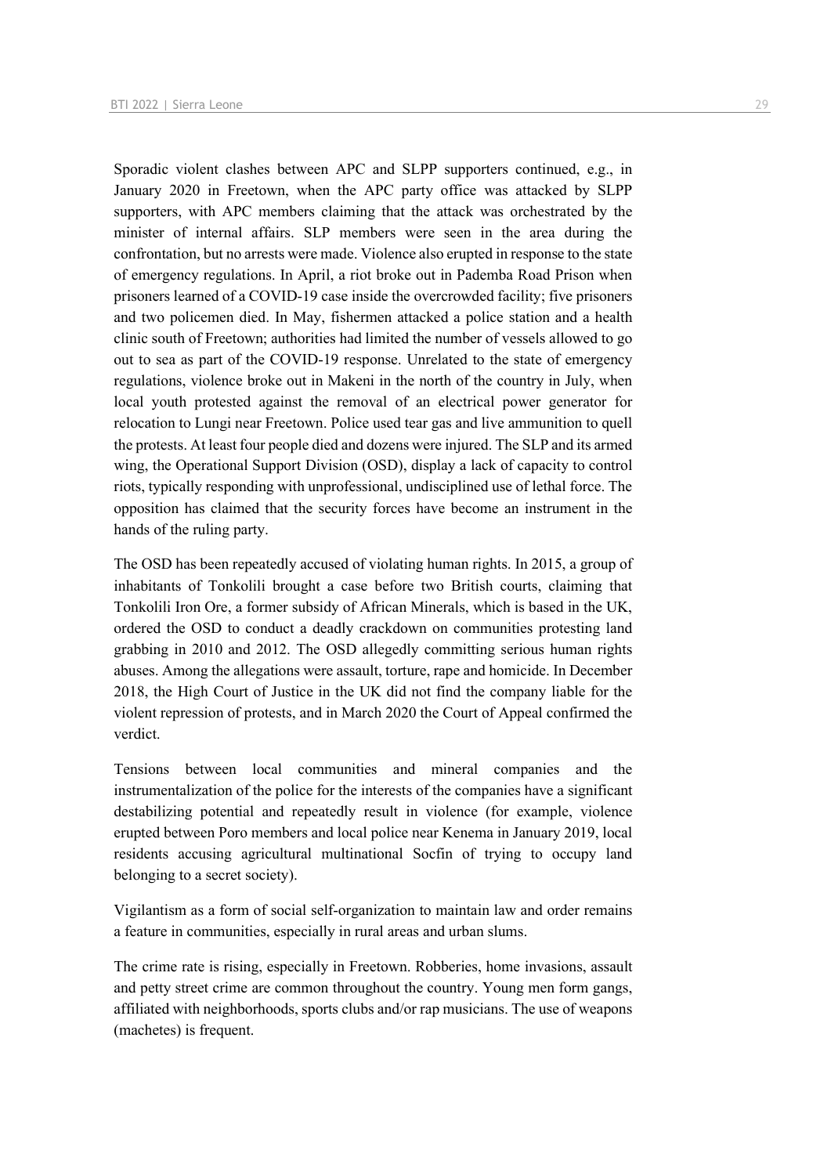Sporadic violent clashes between APC and SLPP supporters continued, e.g., in January 2020 in Freetown, when the APC party office was attacked by SLPP supporters, with APC members claiming that the attack was orchestrated by the minister of internal affairs. SLP members were seen in the area during the confrontation, but no arrests were made. Violence also erupted in response to the state of emergency regulations. In April, a riot broke out in Pademba Road Prison when prisoners learned of a COVID-19 case inside the overcrowded facility; five prisoners and two policemen died. In May, fishermen attacked a police station and a health clinic south of Freetown; authorities had limited the number of vessels allowed to go out to sea as part of the COVID-19 response. Unrelated to the state of emergency regulations, violence broke out in Makeni in the north of the country in July, when local youth protested against the removal of an electrical power generator for relocation to Lungi near Freetown. Police used tear gas and live ammunition to quell the protests. At least four people died and dozens were injured. The SLP and its armed wing, the Operational Support Division (OSD), display a lack of capacity to control riots, typically responding with unprofessional, undisciplined use of lethal force. The opposition has claimed that the security forces have become an instrument in the hands of the ruling party.

The OSD has been repeatedly accused of violating human rights. In 2015, a group of inhabitants of Tonkolili brought a case before two British courts, claiming that Tonkolili Iron Ore, a former subsidy of African Minerals, which is based in the UK, ordered the OSD to conduct a deadly crackdown on communities protesting land grabbing in 2010 and 2012. The OSD allegedly committing serious human rights abuses. Among the allegations were assault, torture, rape and homicide. In December 2018, the High Court of Justice in the UK did not find the company liable for the violent repression of protests, and in March 2020 the Court of Appeal confirmed the verdict.

Tensions between local communities and mineral companies and the instrumentalization of the police for the interests of the companies have a significant destabilizing potential and repeatedly result in violence (for example, violence erupted between Poro members and local police near Kenema in January 2019, local residents accusing agricultural multinational Socfin of trying to occupy land belonging to a secret society).

Vigilantism as a form of social self-organization to maintain law and order remains a feature in communities, especially in rural areas and urban slums.

The crime rate is rising, especially in Freetown. Robberies, home invasions, assault and petty street crime are common throughout the country. Young men form gangs, affiliated with neighborhoods, sports clubs and/or rap musicians. The use of weapons (machetes) is frequent.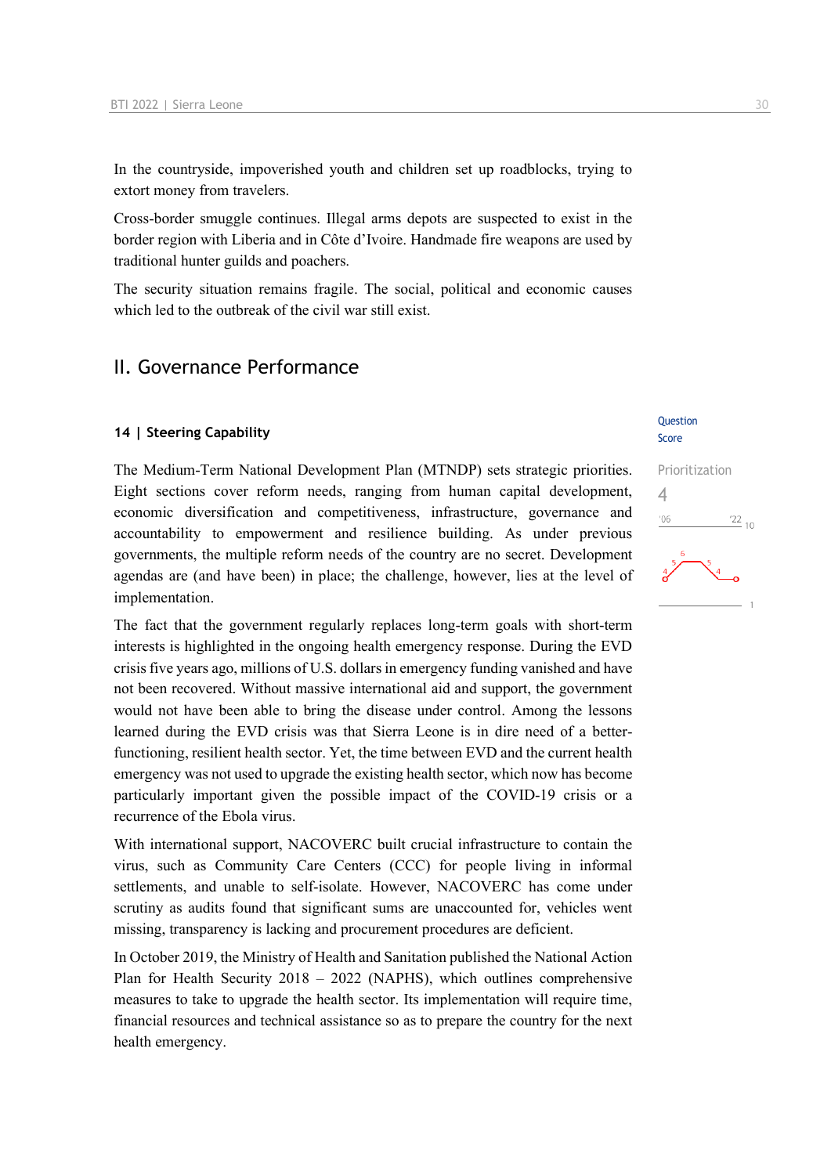In the countryside, impoverished youth and children set up roadblocks, trying to extort money from travelers.

Cross-border smuggle continues. Illegal arms depots are suspected to exist in the border region with Liberia and in Côte d'Ivoire. Handmade fire weapons are used by traditional hunter guilds and poachers.

The security situation remains fragile. The social, political and economic causes which led to the outbreak of the civil war still exist.

## II. Governance Performance

#### **14 | Steering Capability**

The Medium-Term National Development Plan (MTNDP) sets strategic priorities. Eight sections cover reform needs, ranging from human capital development, economic diversification and competitiveness, infrastructure, governance and accountability to empowerment and resilience building. As under previous governments, the multiple reform needs of the country are no secret. Development agendas are (and have been) in place; the challenge, however, lies at the level of implementation.

The fact that the government regularly replaces long-term goals with short-term interests is highlighted in the ongoing health emergency response. During the EVD crisis five years ago, millions of U.S. dollars in emergency funding vanished and have not been recovered. Without massive international aid and support, the government would not have been able to bring the disease under control. Among the lessons learned during the EVD crisis was that Sierra Leone is in dire need of a betterfunctioning, resilient health sector. Yet, the time between EVD and the current health emergency was not used to upgrade the existing health sector, which now has become particularly important given the possible impact of the COVID-19 crisis or a recurrence of the Ebola virus.

With international support, NACOVERC built crucial infrastructure to contain the virus, such as Community Care Centers (CCC) for people living in informal settlements, and unable to self-isolate. However, NACOVERC has come under scrutiny as audits found that significant sums are unaccounted for, vehicles went missing, transparency is lacking and procurement procedures are deficient.

In October 2019, the Ministry of Health and Sanitation published the National Action Plan for Health Security 2018 – 2022 (NAPHS), which outlines comprehensive measures to take to upgrade the health sector. Its implementation will require time, financial resources and technical assistance so as to prepare the country for the next health emergency.

#### **Question** Score

## Prioritization  $\Delta$  $106$  $\frac{22}{10}$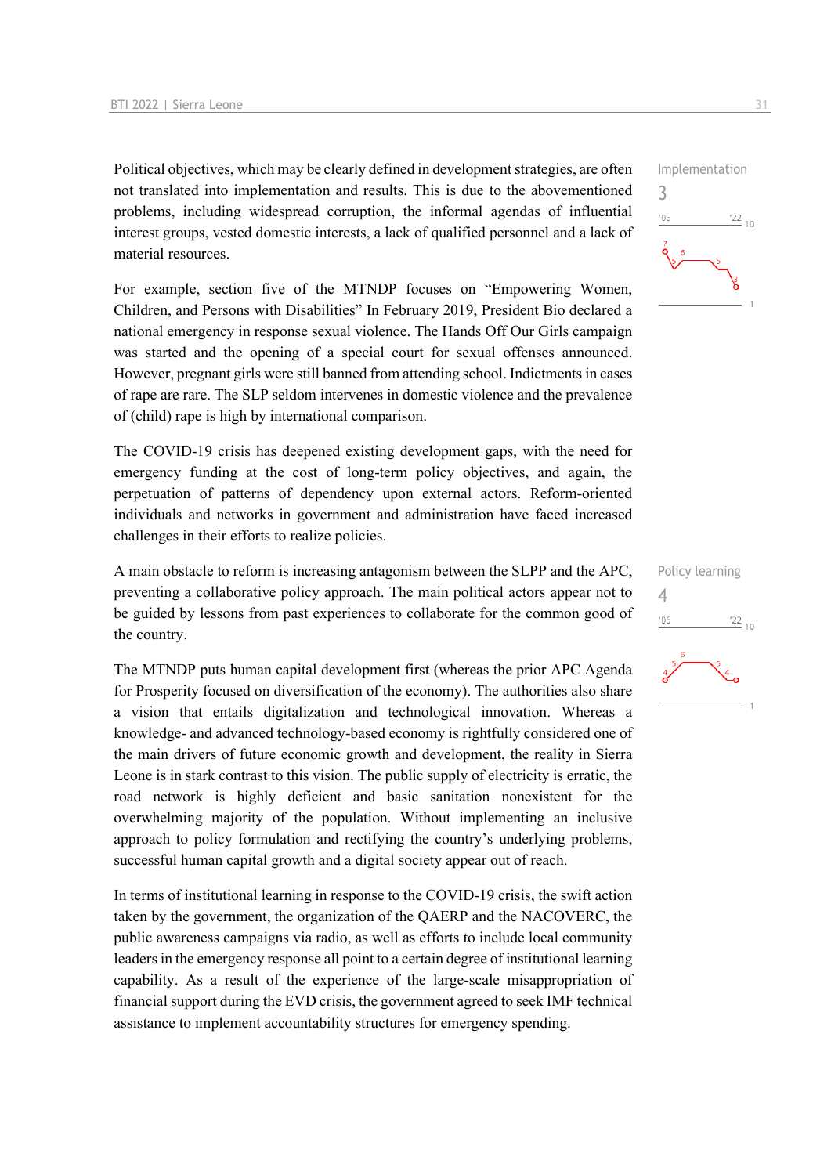Political objectives, which may be clearly defined in development strategies, are often not translated into implementation and results. This is due to the abovementioned problems, including widespread corruption, the informal agendas of influential interest groups, vested domestic interests, a lack of qualified personnel and a lack of material resources.

For example, section five of the MTNDP focuses on "Empowering Women, Children, and Persons with Disabilities" In February 2019, President Bio declared a national emergency in response sexual violence. The Hands Off Our Girls campaign was started and the opening of a special court for sexual offenses announced. However, pregnant girls were still banned from attending school. Indictments in cases of rape are rare. The SLP seldom intervenes in domestic violence and the prevalence of (child) rape is high by international comparison.

The COVID-19 crisis has deepened existing development gaps, with the need for emergency funding at the cost of long-term policy objectives, and again, the perpetuation of patterns of dependency upon external actors. Reform-oriented individuals and networks in government and administration have faced increased challenges in their efforts to realize policies.

A main obstacle to reform is increasing antagonism between the SLPP and the APC, preventing a collaborative policy approach. The main political actors appear not to be guided by lessons from past experiences to collaborate for the common good of the country.

The MTNDP puts human capital development first (whereas the prior APC Agenda for Prosperity focused on diversification of the economy). The authorities also share a vision that entails digitalization and technological innovation. Whereas a knowledge- and advanced technology-based economy is rightfully considered one of the main drivers of future economic growth and development, the reality in Sierra Leone is in stark contrast to this vision. The public supply of electricity is erratic, the road network is highly deficient and basic sanitation nonexistent for the overwhelming majority of the population. Without implementing an inclusive approach to policy formulation and rectifying the country's underlying problems, successful human capital growth and a digital society appear out of reach.

In terms of institutional learning in response to the COVID-19 crisis, the swift action taken by the government, the organization of the QAERP and the NACOVERC, the public awareness campaigns via radio, as well as efforts to include local community leaders in the emergency response all point to a certain degree of institutional learning capability. As a result of the experience of the large-scale misappropriation of financial support during the EVD crisis, the government agreed to seek IMF technical assistance to implement accountability structures for emergency spending.



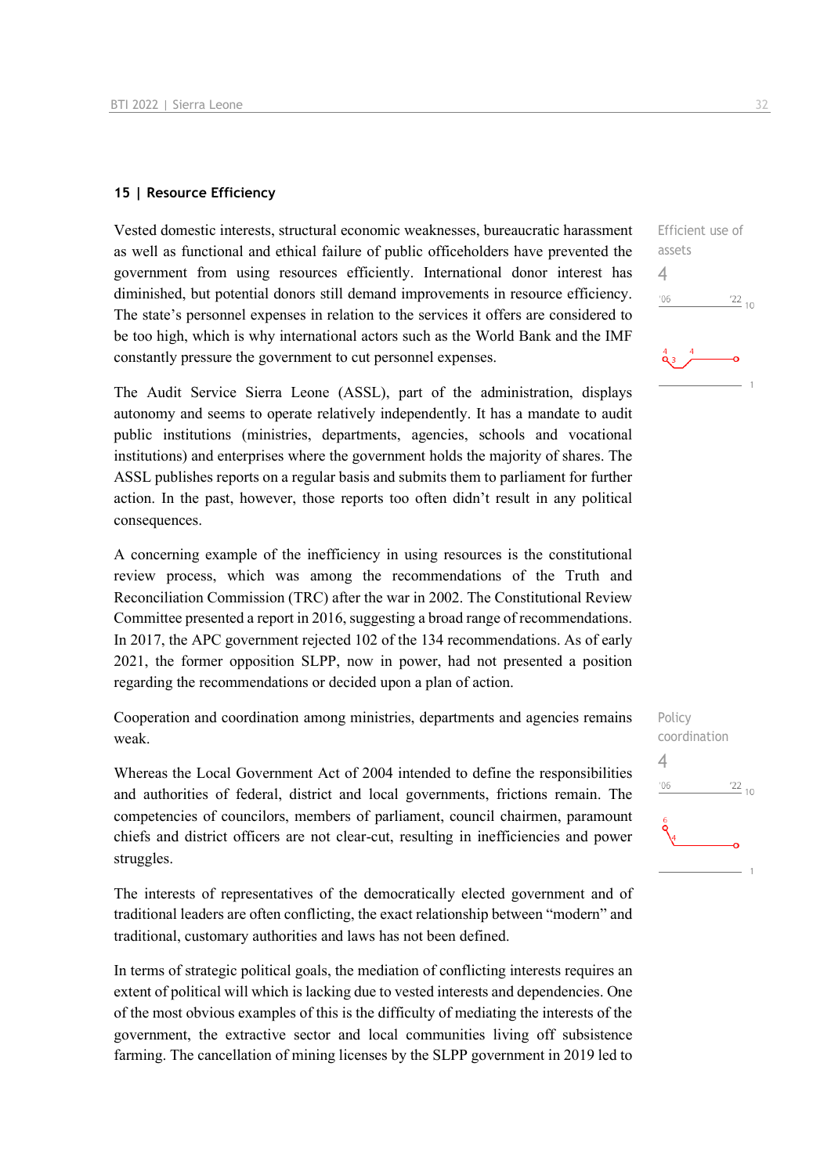#### **15 | Resource Efficiency**

Vested domestic interests, structural economic weaknesses, bureaucratic harassment as well as functional and ethical failure of public officeholders have prevented the government from using resources efficiently. International donor interest has diminished, but potential donors still demand improvements in resource efficiency. The state's personnel expenses in relation to the services it offers are considered to be too high, which is why international actors such as the World Bank and the IMF constantly pressure the government to cut personnel expenses.

The Audit Service Sierra Leone (ASSL), part of the administration, displays autonomy and seems to operate relatively independently. It has a mandate to audit public institutions (ministries, departments, agencies, schools and vocational institutions) and enterprises where the government holds the majority of shares. The ASSL publishes reports on a regular basis and submits them to parliament for further action. In the past, however, those reports too often didn't result in any political consequences.

A concerning example of the inefficiency in using resources is the constitutional review process, which was among the recommendations of the Truth and Reconciliation Commission (TRC) after the war in 2002. The Constitutional Review Committee presented a report in 2016, suggesting a broad range of recommendations. In 2017, the APC government rejected 102 of the 134 recommendations. As of early 2021, the former opposition SLPP, now in power, had not presented a position regarding the recommendations or decided upon a plan of action.

Cooperation and coordination among ministries, departments and agencies remains weak.

Whereas the Local Government Act of 2004 intended to define the responsibilities and authorities of federal, district and local governments, frictions remain. The competencies of councilors, members of parliament, council chairmen, paramount chiefs and district officers are not clear-cut, resulting in inefficiencies and power struggles.

The interests of representatives of the democratically elected government and of traditional leaders are often conflicting, the exact relationship between "modern" and traditional, customary authorities and laws has not been defined.

In terms of strategic political goals, the mediation of conflicting interests requires an extent of political will which is lacking due to vested interests and dependencies. One of the most obvious examples of this is the difficulty of mediating the interests of the government, the extractive sector and local communities living off subsistence farming. The cancellation of mining licenses by the SLPP government in 2019 led to



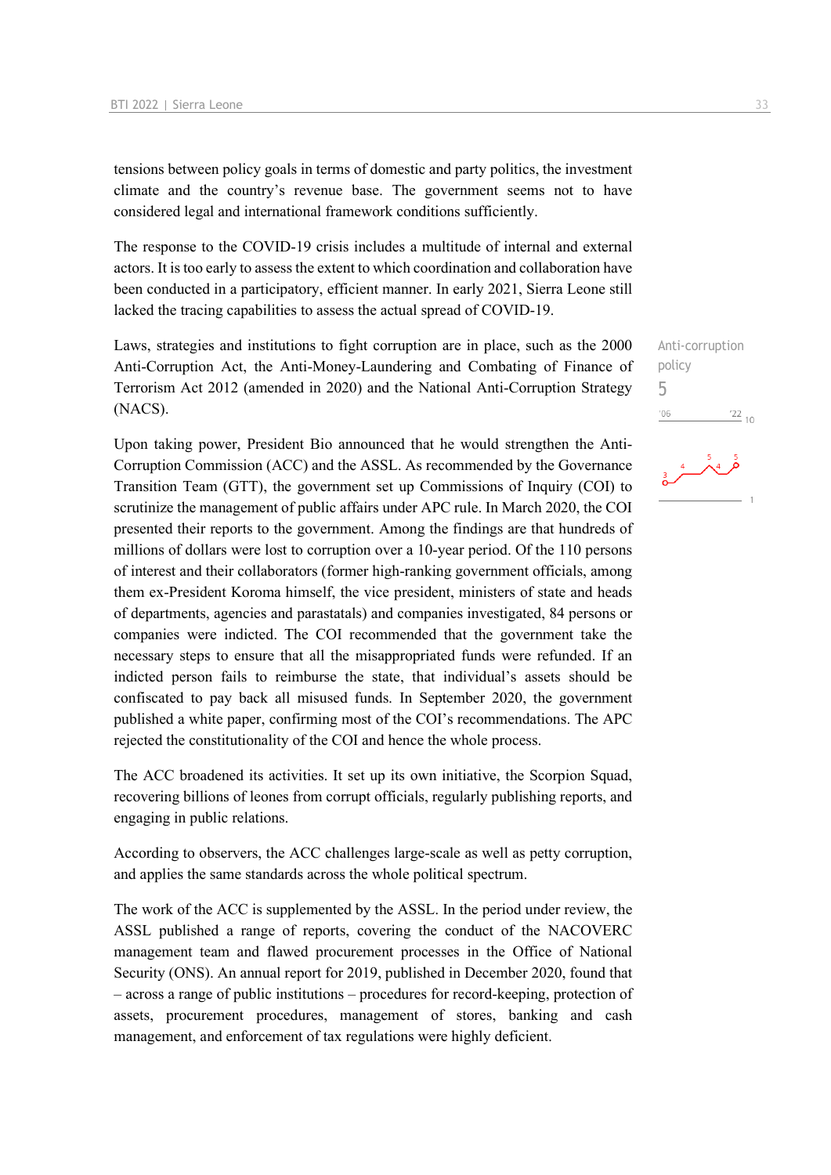tensions between policy goals in terms of domestic and party politics, the investment climate and the country's revenue base. The government seems not to have considered legal and international framework conditions sufficiently.

The response to the COVID-19 crisis includes a multitude of internal and external actors. It is too early to assess the extent to which coordination and collaboration have been conducted in a participatory, efficient manner. In early 2021, Sierra Leone still lacked the tracing capabilities to assess the actual spread of COVID-19.

Laws, strategies and institutions to fight corruption are in place, such as the 2000 Anti-Corruption Act, the Anti-Money-Laundering and Combating of Finance of Terrorism Act 2012 (amended in 2020) and the National Anti-Corruption Strategy (NACS).

Upon taking power, President Bio announced that he would strengthen the Anti-Corruption Commission (ACC) and the ASSL. As recommended by the Governance Transition Team (GTT), the government set up Commissions of Inquiry (COI) to scrutinize the management of public affairs under APC rule. In March 2020, the COI presented their reports to the government. Among the findings are that hundreds of millions of dollars were lost to corruption over a 10-year period. Of the 110 persons of interest and their collaborators (former high-ranking government officials, among them ex-President Koroma himself, the vice president, ministers of state and heads of departments, agencies and parastatals) and companies investigated, 84 persons or companies were indicted. The COI recommended that the government take the necessary steps to ensure that all the misappropriated funds were refunded. If an indicted person fails to reimburse the state, that individual's assets should be confiscated to pay back all misused funds. In September 2020, the government published a white paper, confirming most of the COI's recommendations. The APC rejected the constitutionality of the COI and hence the whole process.

The ACC broadened its activities. It set up its own initiative, the Scorpion Squad, recovering billions of leones from corrupt officials, regularly publishing reports, and engaging in public relations.

According to observers, the ACC challenges large-scale as well as petty corruption, and applies the same standards across the whole political spectrum.

The work of the ACC is supplemented by the ASSL. In the period under review, the ASSL published a range of reports, covering the conduct of the NACOVERC management team and flawed procurement processes in the Office of National Security (ONS). An annual report for 2019, published in December 2020, found that – across a range of public institutions – procedures for record-keeping, protection of assets, procurement procedures, management of stores, banking and cash management, and enforcement of tax regulations were highly deficient.



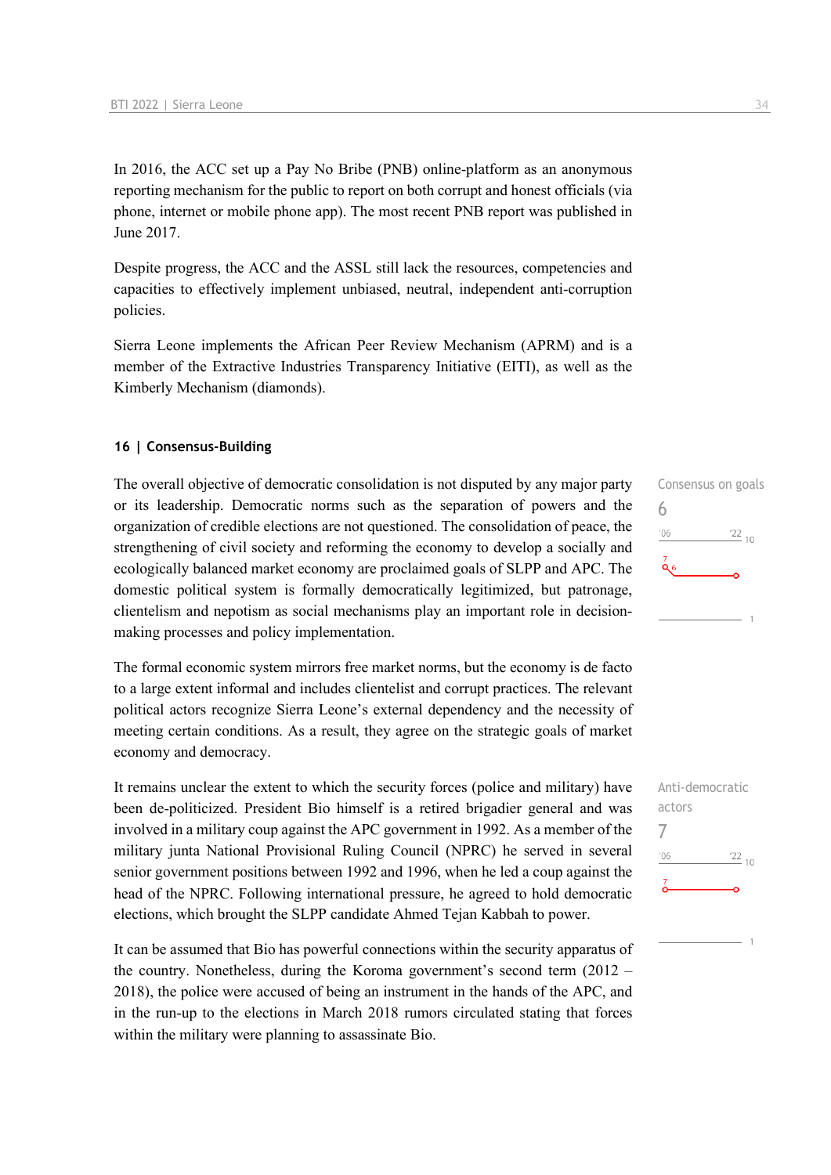In 2016, the ACC set up a Pay No Bribe (PNB) online-platform as an anonymous reporting mechanism for the public to report on both corrupt and honest officials (via phone, internet or mobile phone app). The most recent PNB report was published in June 2017.

Despite progress, the ACC and the ASSL still lack the resources, competencies and capacities to effectively implement unbiased, neutral, independent anti-corruption policies.

Sierra Leone implements the African Peer Review Mechanism (APRM) and is a member of the Extractive Industries Transparency Initiative (EITI), as well as the Kimberly Mechanism (diamonds).

#### **16 | Consensus-Building**

The overall objective of democratic consolidation is not disputed by any major party or its leadership. Democratic norms such as the separation of powers and the organization of credible elections are not questioned. The consolidation of peace, the strengthening of civil society and reforming the economy to develop a socially and ecologically balanced market economy are proclaimed goals of SLPP and APC. The domestic political system is formally democratically legitimized, but patronage, clientelism and nepotism as social mechanisms play an important role in decisionmaking processes and policy implementation.

The formal economic system mirrors free market norms, but the economy is de facto to a large extent informal and includes clientelist and corrupt practices. The relevant political actors recognize Sierra Leone's external dependency and the necessity of meeting certain conditions. As a result, they agree on the strategic goals of market economy and democracy.

It remains unclear the extent to which the security forces (police and military) have been de-politicized. President Bio himself is a retired brigadier general and was involved in a military coup against the APC government in 1992. As a member of the military junta National Provisional Ruling Council (NPRC) he served in several senior government positions between 1992 and 1996, when he led a coup against the head of the NPRC. Following international pressure, he agreed to hold democratic elections, which brought the SLPP candidate Ahmed Tejan Kabbah to power.

It can be assumed that Bio has powerful connections within the security apparatus of the country. Nonetheless, during the Koroma government's second term (2012 – 2018), the police were accused of being an instrument in the hands of the APC, and in the run-up to the elections in March 2018 rumors circulated stating that forces within the military were planning to assassinate Bio.



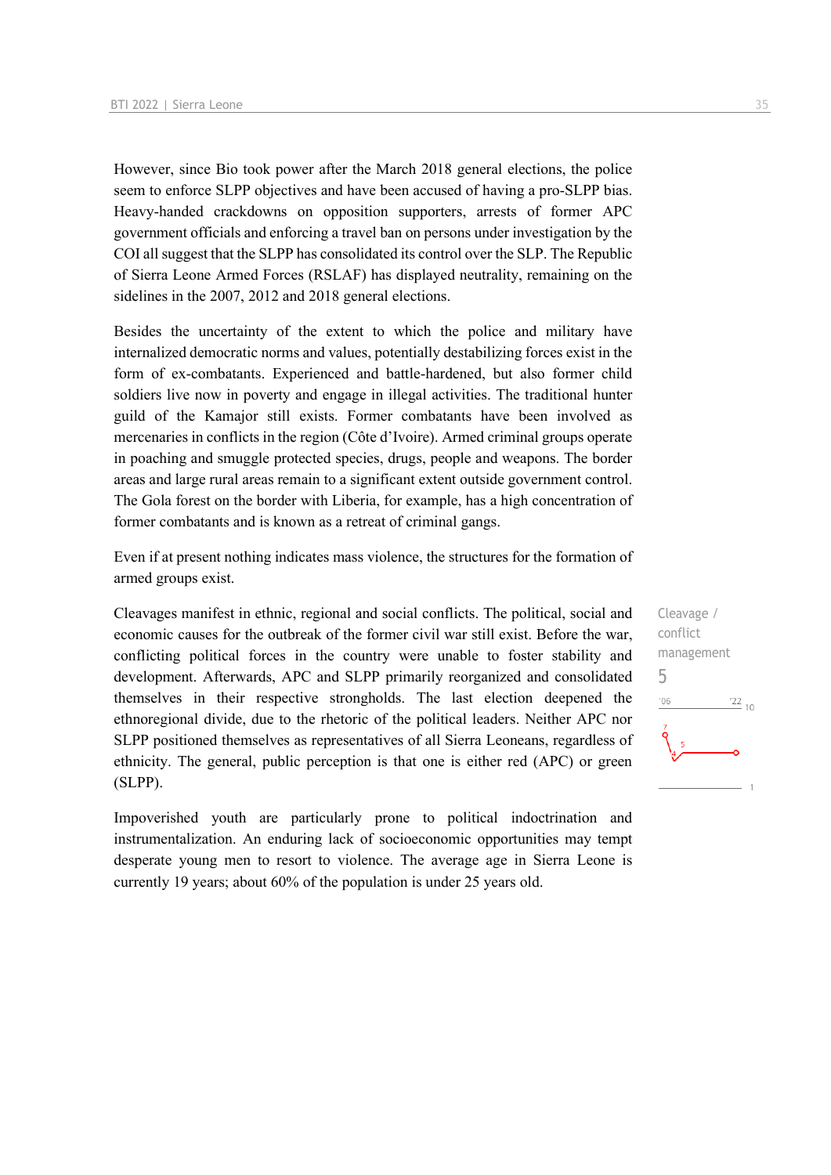However, since Bio took power after the March 2018 general elections, the police seem to enforce SLPP objectives and have been accused of having a pro-SLPP bias. Heavy-handed crackdowns on opposition supporters, arrests of former APC government officials and enforcing a travel ban on persons under investigation by the COI all suggest that the SLPP has consolidated its control over the SLP. The Republic of Sierra Leone Armed Forces (RSLAF) has displayed neutrality, remaining on the sidelines in the 2007, 2012 and 2018 general elections.

Besides the uncertainty of the extent to which the police and military have internalized democratic norms and values, potentially destabilizing forces exist in the form of ex-combatants. Experienced and battle-hardened, but also former child soldiers live now in poverty and engage in illegal activities. The traditional hunter guild of the Kamajor still exists. Former combatants have been involved as mercenaries in conflicts in the region (Côte d'Ivoire). Armed criminal groups operate in poaching and smuggle protected species, drugs, people and weapons. The border areas and large rural areas remain to a significant extent outside government control. The Gola forest on the border with Liberia, for example, has a high concentration of former combatants and is known as a retreat of criminal gangs.

Even if at present nothing indicates mass violence, the structures for the formation of armed groups exist.

Cleavages manifest in ethnic, regional and social conflicts. The political, social and economic causes for the outbreak of the former civil war still exist. Before the war, conflicting political forces in the country were unable to foster stability and development. Afterwards, APC and SLPP primarily reorganized and consolidated themselves in their respective strongholds. The last election deepened the ethnoregional divide, due to the rhetoric of the political leaders. Neither APC nor SLPP positioned themselves as representatives of all Sierra Leoneans, regardless of ethnicity. The general, public perception is that one is either red (APC) or green (SLPP).

Impoverished youth are particularly prone to political indoctrination and instrumentalization. An enduring lack of socioeconomic opportunities may tempt desperate young men to resort to violence. The average age in Sierra Leone is currently 19 years; about 60% of the population is under 25 years old.

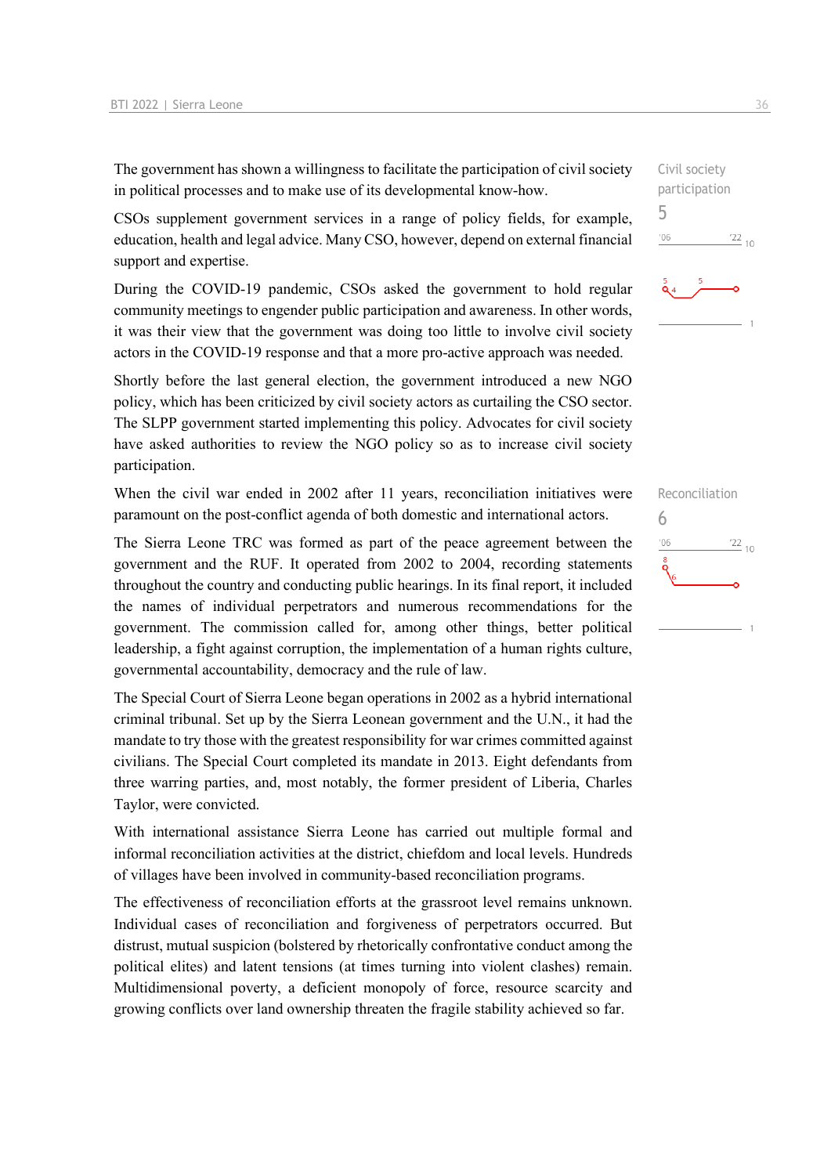The government has shown a willingness to facilitate the participation of civil society in political processes and to make use of its developmental know-how.

CSOs supplement government services in a range of policy fields, for example, education, health and legal advice. Many CSO, however, depend on external financial support and expertise.

During the COVID-19 pandemic, CSOs asked the government to hold regular community meetings to engender public participation and awareness. In other words, it was their view that the government was doing too little to involve civil society actors in the COVID-19 response and that a more pro-active approach was needed.

Shortly before the last general election, the government introduced a new NGO policy, which has been criticized by civil society actors as curtailing the CSO sector. The SLPP government started implementing this policy. Advocates for civil society have asked authorities to review the NGO policy so as to increase civil society participation.

When the civil war ended in 2002 after 11 years, reconciliation initiatives were paramount on the post-conflict agenda of both domestic and international actors.

The Sierra Leone TRC was formed as part of the peace agreement between the government and the RUF. It operated from 2002 to 2004, recording statements throughout the country and conducting public hearings. In its final report, it included the names of individual perpetrators and numerous recommendations for the government. The commission called for, among other things, better political leadership, a fight against corruption, the implementation of a human rights culture, governmental accountability, democracy and the rule of law.

The Special Court of Sierra Leone began operations in 2002 as a hybrid international criminal tribunal. Set up by the Sierra Leonean government and the U.N., it had the mandate to try those with the greatest responsibility for war crimes committed against civilians. The Special Court completed its mandate in 2013. Eight defendants from three warring parties, and, most notably, the former president of Liberia, Charles Taylor, were convicted.

With international assistance Sierra Leone has carried out multiple formal and informal reconciliation activities at the district, chiefdom and local levels. Hundreds of villages have been involved in community-based reconciliation programs.

The effectiveness of reconciliation efforts at the grassroot level remains unknown. Individual cases of reconciliation and forgiveness of perpetrators occurred. But distrust, mutual suspicion (bolstered by rhetorically confrontative conduct among the political elites) and latent tensions (at times turning into violent clashes) remain. Multidimensional poverty, a deficient monopoly of force, resource scarcity and growing conflicts over land ownership threaten the fragile stability achieved so far.





Reconciliation 6 $\frac{22}{10}$  $'06$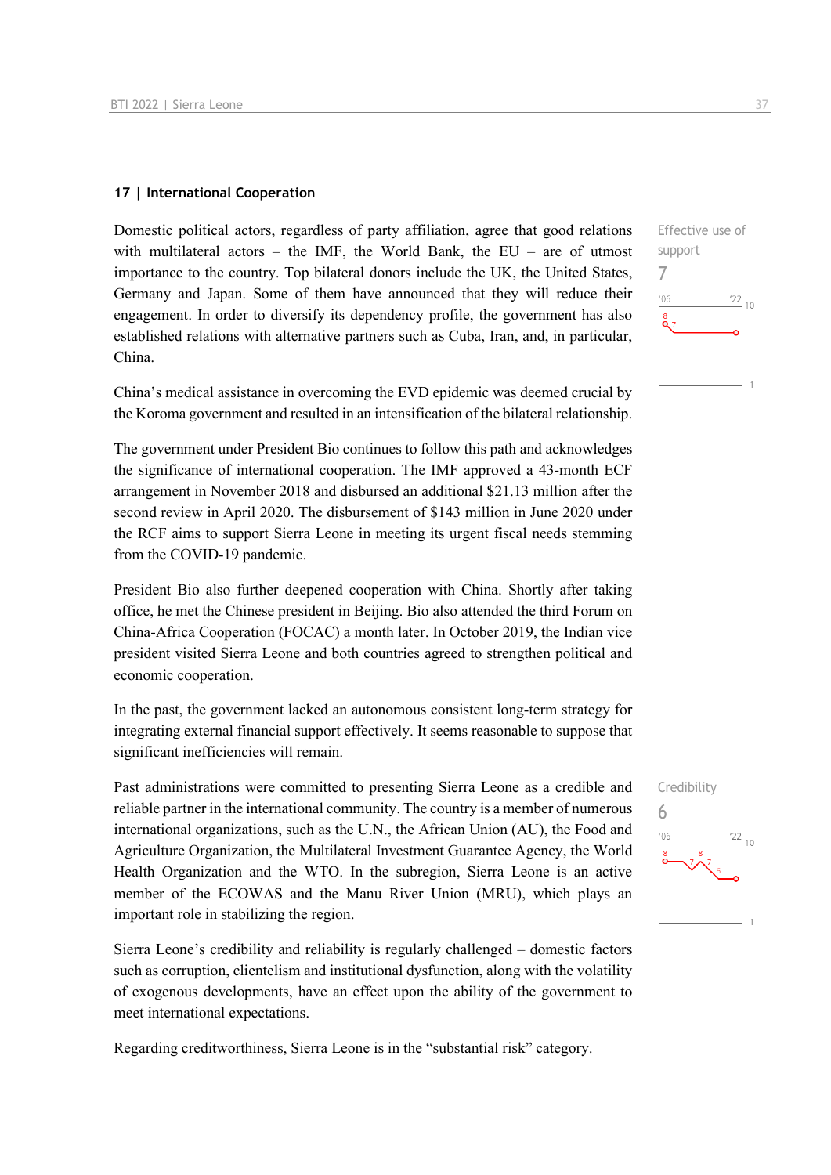#### **17 | International Cooperation**

Domestic political actors, regardless of party affiliation, agree that good relations with multilateral actors – the IMF, the World Bank, the EU – are of utmost importance to the country. Top bilateral donors include the UK, the United States, Germany and Japan. Some of them have announced that they will reduce their engagement. In order to diversify its dependency profile, the government has also established relations with alternative partners such as Cuba, Iran, and, in particular, China.

China's medical assistance in overcoming the EVD epidemic was deemed crucial by the Koroma government and resulted in an intensification of the bilateral relationship.

The government under President Bio continues to follow this path and acknowledges the significance of international cooperation. The IMF approved a 43-month ECF arrangement in November 2018 and disbursed an additional \$21.13 million after the second review in April 2020. The disbursement of \$143 million in June 2020 under the RCF aims to support Sierra Leone in meeting its urgent fiscal needs stemming from the COVID-19 pandemic.

President Bio also further deepened cooperation with China. Shortly after taking office, he met the Chinese president in Beijing. Bio also attended the third Forum on China-Africa Cooperation (FOCAC) a month later. In October 2019, the Indian vice president visited Sierra Leone and both countries agreed to strengthen political and economic cooperation.

In the past, the government lacked an autonomous consistent long-term strategy for integrating external financial support effectively. It seems reasonable to suppose that significant inefficiencies will remain.

Past administrations were committed to presenting Sierra Leone as a credible and reliable partner in the international community. The country is a member of numerous international organizations, such as the U.N., the African Union (AU), the Food and Agriculture Organization, the Multilateral Investment Guarantee Agency, the World Health Organization and the WTO. In the subregion, Sierra Leone is an active member of the ECOWAS and the Manu River Union (MRU), which plays an important role in stabilizing the region.

Sierra Leone's credibility and reliability is regularly challenged – domestic factors such as corruption, clientelism and institutional dysfunction, along with the volatility of exogenous developments, have an effect upon the ability of the government to meet international expectations.

Regarding creditworthiness, Sierra Leone is in the "substantial risk" category.



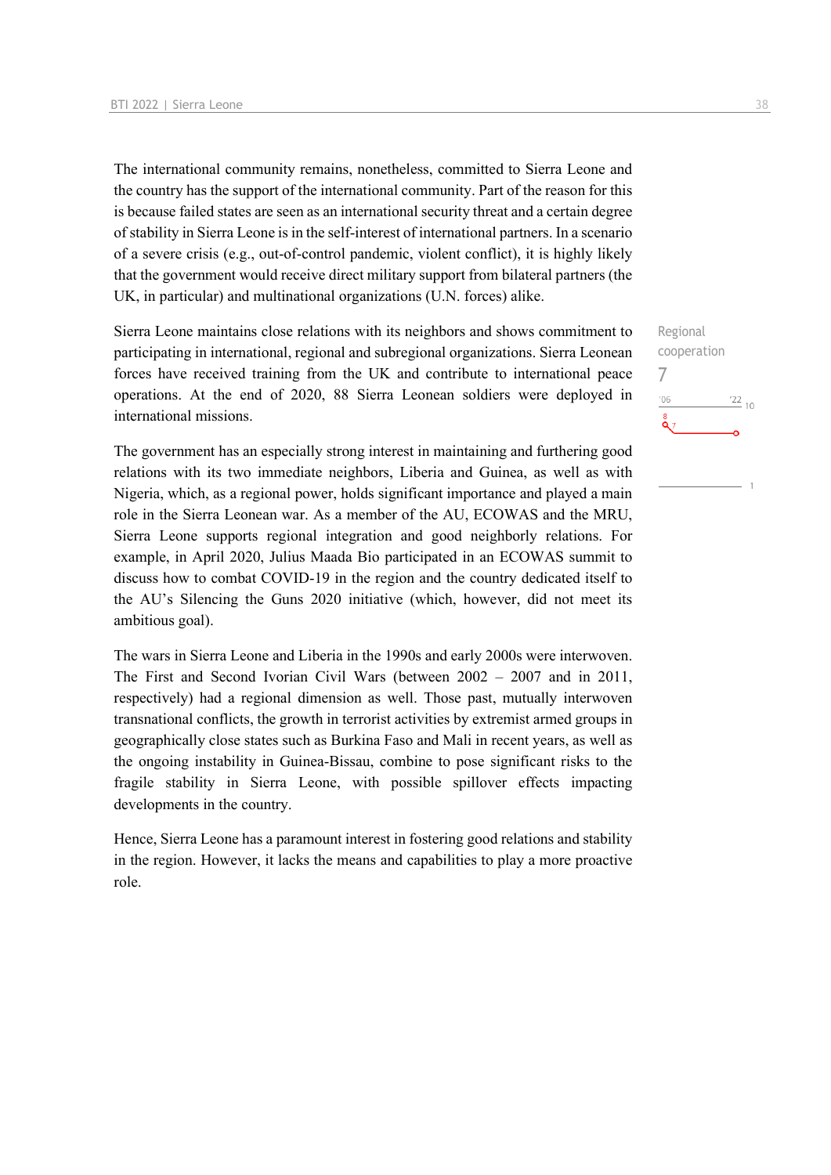The international community remains, nonetheless, committed to Sierra Leone and the country has the support of the international community. Part of the reason for this is because failed states are seen as an international security threat and a certain degree of stability in Sierra Leone is in the self-interest of international partners. In a scenario of a severe crisis (e.g., out-of-control pandemic, violent conflict), it is highly likely that the government would receive direct military support from bilateral partners (the UK, in particular) and multinational organizations (U.N. forces) alike.

Sierra Leone maintains close relations with its neighbors and shows commitment to participating in international, regional and subregional organizations. Sierra Leonean forces have received training from the UK and contribute to international peace operations. At the end of 2020, 88 Sierra Leonean soldiers were deployed in international missions.

The government has an especially strong interest in maintaining and furthering good relations with its two immediate neighbors, Liberia and Guinea, as well as with Nigeria, which, as a regional power, holds significant importance and played a main role in the Sierra Leonean war. As a member of the AU, ECOWAS and the MRU, Sierra Leone supports regional integration and good neighborly relations. For example, in April 2020, Julius Maada Bio participated in an ECOWAS summit to discuss how to combat COVID-19 in the region and the country dedicated itself to the AU's Silencing the Guns 2020 initiative (which, however, did not meet its ambitious goal).

The wars in Sierra Leone and Liberia in the 1990s and early 2000s were interwoven. The First and Second Ivorian Civil Wars (between 2002 – 2007 and in 2011, respectively) had a regional dimension as well. Those past, mutually interwoven transnational conflicts, the growth in terrorist activities by extremist armed groups in geographically close states such as Burkina Faso and Mali in recent years, as well as the ongoing instability in Guinea-Bissau, combine to pose significant risks to the fragile stability in Sierra Leone, with possible spillover effects impacting developments in the country.

Hence, Sierra Leone has a paramount interest in fostering good relations and stability in the region. However, it lacks the means and capabilities to play a more proactive role.

Regional cooperation 7 $\frac{22}{10}$  $106$